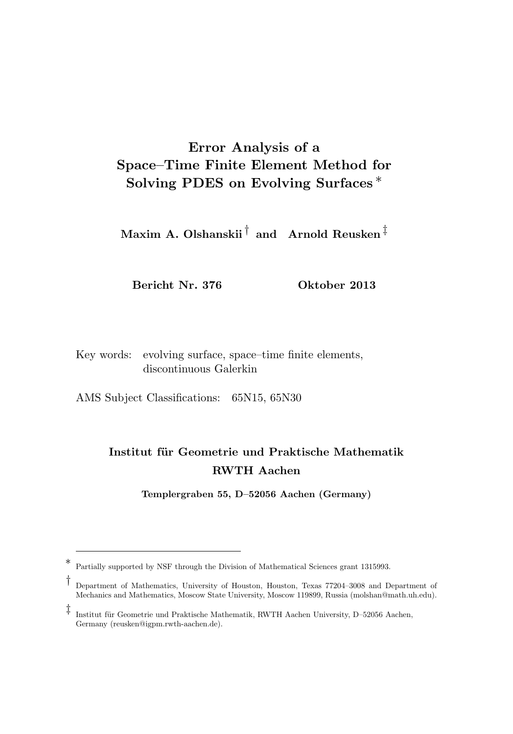## Error Analysis of a Space–Time Finite Element Method for Solving PDES on Evolving Surfaces ∗

 $\mathbf M$ axim A. Olshanskii $^\dagger$  and  $\,$  Arnold Reusken $^\ddagger$ 

Bericht Nr. 376 Oktober 2013

Key words: evolving surface, space–time finite elements, discontinuous Galerkin

AMS Subject Classifications: 65N15, 65N30

## Institut für Geometrie und Praktische Mathematik RWTH Aachen

Templergraben 55, D–52056 Aachen (Germany)

<sup>∗</sup> Partially supported by NSF through the Division of Mathematical Sciences grant 1315993.

<sup>†</sup> Department of Mathematics, University of Houston, Houston, Texas 77204–3008 and Department of Mechanics and Mathematics, Moscow State University, Moscow 119899, Russia (molshan@math.uh.edu).

<sup>‡</sup> Institut für Geometrie und Praktische Mathematik, RWTH Aachen University, D–52056 Aachen, Germany (reusken@igpm.rwth-aachen.de).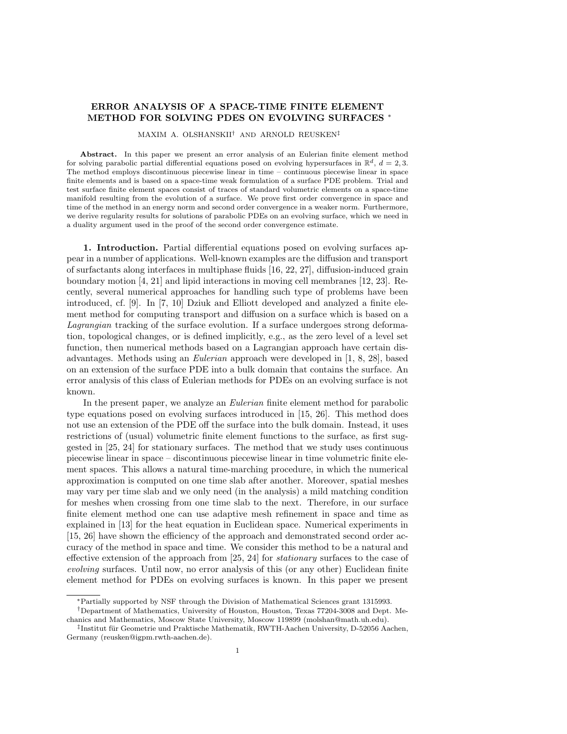## ERROR ANALYSIS OF A SPACE-TIME FINITE ELEMENT METHOD FOR SOLVING PDES ON EVOLVING SURFACES \*

MAXIM A. OLSHANSKII† AND ARNOLD REUSKEN‡

Abstract. In this paper we present an error analysis of an Eulerian finite element method for solving parabolic partial differential equations posed on evolving hypersurfaces in  $\mathbb{R}^d$ ,  $d = 2, 3$ . The method employs discontinuous piecewise linear in time – continuous piecewise linear in space finite elements and is based on a space-time weak formulation of a surface PDE problem. Trial and test surface finite element spaces consist of traces of standard volumetric elements on a space-time manifold resulting from the evolution of a surface. We prove first order convergence in space and time of the method in an energy norm and second order convergence in a weaker norm. Furthermore, we derive regularity results for solutions of parabolic PDEs on an evolving surface, which we need in a duality argument used in the proof of the second order convergence estimate.

1. Introduction. Partial differential equations posed on evolving surfaces appear in a number of applications. Well-known examples are the diffusion and transport of surfactants along interfaces in multiphase fluids [16, 22, 27], diffusion-induced grain boundary motion [4, 21] and lipid interactions in moving cell membranes [12, 23]. Recently, several numerical approaches for handling such type of problems have been introduced, cf. [9]. In [7, 10] Dziuk and Elliott developed and analyzed a finite element method for computing transport and diffusion on a surface which is based on a Lagrangian tracking of the surface evolution. If a surface undergoes strong deformation, topological changes, or is defined implicitly, e.g., as the zero level of a level set function, then numerical methods based on a Lagrangian approach have certain disadvantages. Methods using an Eulerian approach were developed in [1, 8, 28], based on an extension of the surface PDE into a bulk domain that contains the surface. An error analysis of this class of Eulerian methods for PDEs on an evolving surface is not known.

In the present paper, we analyze an *Eulerian* finite element method for parabolic type equations posed on evolving surfaces introduced in [15, 26]. This method does not use an extension of the PDE off the surface into the bulk domain. Instead, it uses restrictions of (usual) volumetric finite element functions to the surface, as first suggested in [25, 24] for stationary surfaces. The method that we study uses continuous piecewise linear in space – discontinuous piecewise linear in time volumetric finite element spaces. This allows a natural time-marching procedure, in which the numerical approximation is computed on one time slab after another. Moreover, spatial meshes may vary per time slab and we only need (in the analysis) a mild matching condition for meshes when crossing from one time slab to the next. Therefore, in our surface finite element method one can use adaptive mesh refinement in space and time as explained in [13] for the heat equation in Euclidean space. Numerical experiments in [15, 26] have shown the efficiency of the approach and demonstrated second order accuracy of the method in space and time. We consider this method to be a natural and effective extension of the approach from  $[25, 24]$  for *stationary* surfaces to the case of evolving surfaces. Until now, no error analysis of this (or any other) Euclidean finite element method for PDEs on evolving surfaces is known. In this paper we present

<sup>∗</sup>Partially supported by NSF through the Division of Mathematical Sciences grant 1315993.

<sup>†</sup>Department of Mathematics, University of Houston, Houston, Texas 77204-3008 and Dept. Mechanics and Mathematics, Moscow State University, Moscow 119899 (molshan@math.uh.edu).

 $^{\ddagger}$ Institut für Geometrie und Praktische Mathematik, RWTH-Aachen University, D-52056 Aachen, Germany (reusken@igpm.rwth-aachen.de).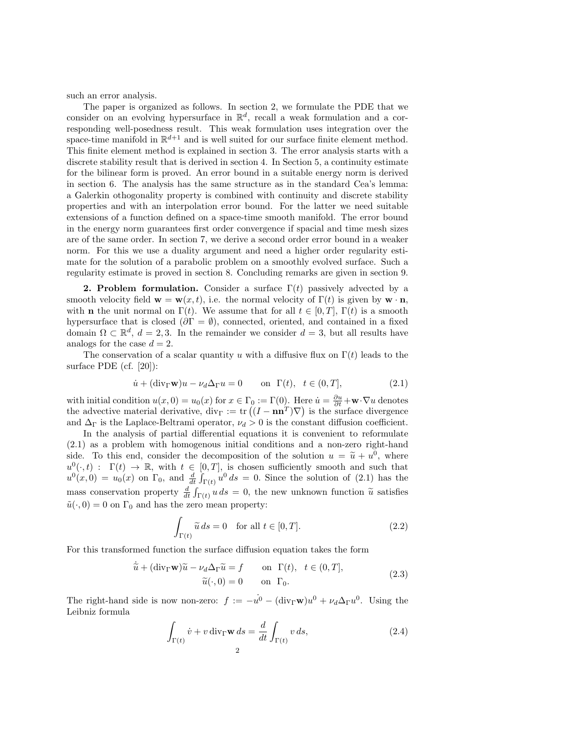such an error analysis.

The paper is organized as follows. In section 2, we formulate the PDE that we consider on an evolving hypersurface in  $\mathbb{R}^d$ , recall a weak formulation and a corresponding well-posedness result. This weak formulation uses integration over the space-time manifold in  $\mathbb{R}^{d+1}$  and is well suited for our surface finite element method. This finite element method is explained in section 3. The error analysis starts with a discrete stability result that is derived in section 4. In Section 5, a continuity estimate for the bilinear form is proved. An error bound in a suitable energy norm is derived in section 6. The analysis has the same structure as in the standard Cea's lemma: a Galerkin othogonality property is combined with continuity and discrete stability properties and with an interpolation error bound. For the latter we need suitable extensions of a function defined on a space-time smooth manifold. The error bound in the energy norm guarantees first order convergence if spacial and time mesh sizes are of the same order. In section 7, we derive a second order error bound in a weaker norm. For this we use a duality argument and need a higher order regularity estimate for the solution of a parabolic problem on a smoothly evolved surface. Such a regularity estimate is proved in section 8. Concluding remarks are given in section 9.

**2. Problem formulation.** Consider a surface  $\Gamma(t)$  passively advected by a smooth velocity field  $\mathbf{w} = \mathbf{w}(x, t)$ , i.e. the normal velocity of  $\Gamma(t)$  is given by  $\mathbf{w} \cdot \mathbf{n}$ , with **n** the unit normal on  $\Gamma(t)$ . We assume that for all  $t \in [0, T]$ ,  $\Gamma(t)$  is a smooth hypersurface that is closed ( $\partial \Gamma = \emptyset$ ), connected, oriented, and contained in a fixed domain  $\Omega \subset \mathbb{R}^d$ ,  $d = 2, 3$ . In the remainder we consider  $d = 3$ , but all results have analogs for the case  $d = 2$ .

The conservation of a scalar quantity u with a diffusive flux on  $\Gamma(t)$  leads to the surface PDE (cf. [20]):

$$
\dot{u} + (\text{div}_{\Gamma} \mathbf{w})u - \nu_d \Delta_{\Gamma} u = 0 \qquad \text{on } \Gamma(t), \ t \in (0, T], \tag{2.1}
$$

with initial condition  $u(x, 0) = u_0(x)$  for  $x \in \Gamma_0 := \Gamma(0)$ . Here  $\dot{u} = \frac{\partial u}{\partial t} + \mathbf{w} \cdot \nabla u$  denotes the advective material derivative,  $\text{div}_{\Gamma} := \text{tr}((I - \mathbf{n}\mathbf{n}^T)\nabla)$  is the surface divergence and  $\Delta_{\Gamma}$  is the Laplace-Beltrami operator,  $\nu_d > 0$  is the constant diffusion coefficient.

In the analysis of partial differential equations it is convenient to reformulate (2.1) as a problem with homogenous initial conditions and a non-zero right-hand side. To this end, consider the decomposition of the solution  $u = \tilde{u} + u^0$ , where  $u^0(\cdot,t)$ :  $\Gamma(t) \to \mathbb{R}$ , with  $t \in [0,T]$ , is chosen sufficiently smooth and such that  $u^0(x,0) = u_0(x)$  on  $\Gamma_0$ , and  $\frac{d}{dt} \int_{\Gamma(t)} u^0 ds = 0$ . Since the solution of (2.1) has the mass conservation property  $\frac{d}{dt} \int_{\Gamma(t)} u \, ds = 0$ , the new unknown function  $\tilde{u}$  satisfies  $\tilde{u}(\cdot, 0) = 0$  on  $\Gamma_0$  and has the zero mean property:

$$
\int_{\Gamma(t)} \widetilde{u} \, ds = 0 \quad \text{for all } t \in [0, T]. \tag{2.2}
$$

For this transformed function the surface diffusion equation takes the form

$$
\dot{\tilde{u}} + (\text{div}_{\Gamma} \mathbf{w})\tilde{u} - \nu_d \Delta_{\Gamma} \tilde{u} = f \quad \text{on } \Gamma(t), \ t \in (0, T],
$$
  
\n
$$
\tilde{u}(\cdot, 0) = 0 \quad \text{on } \Gamma_0.
$$
\n(2.3)

The right-hand side is now non-zero:  $f := -\dot{u}^0 - (\text{div}_{\Gamma} \mathbf{w})u^0 + \nu_d \Delta_{\Gamma} u^0$ . Using the Leibniz formula

$$
\int_{\Gamma(t)} \dot{v} + v \operatorname{div}_{\Gamma} \mathbf{w} \, ds = \frac{d}{dt} \int_{\Gamma(t)} v \, ds,\tag{2.4}
$$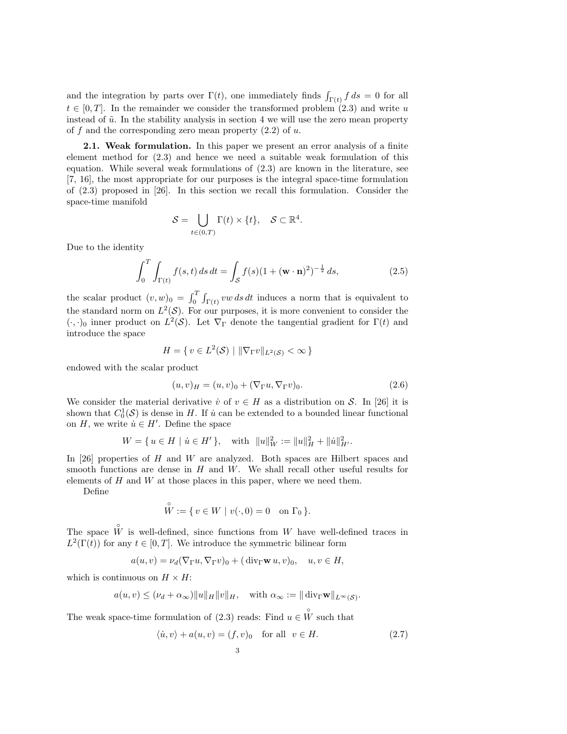and the integration by parts over  $\Gamma(t)$ , one immediately finds  $\int_{\Gamma(t)} f ds = 0$  for all  $t \in [0, T]$ . In the remainder we consider the transformed problem  $(2.3)$  and write u instead of  $\tilde{u}$ . In the stability analysis in section 4 we will use the zero mean property of f and the corresponding zero mean property  $(2.2)$  of u.

**2.1. Weak formulation.** In this paper we present an error analysis of a finite element method for (2.3) and hence we need a suitable weak formulation of this equation. While several weak formulations of (2.3) are known in the literature, see [7, 16], the most appropriate for our purposes is the integral space-time formulation of (2.3) proposed in [26]. In this section we recall this formulation. Consider the space-time manifold

$$
\mathcal{S} = \bigcup_{t \in (0,T)} \Gamma(t) \times \{t\}, \quad \mathcal{S} \subset \mathbb{R}^4.
$$

Due to the identity

$$
\int_0^T \int_{\Gamma(t)} f(s, t) \, ds \, dt = \int_S f(s) (1 + (\mathbf{w} \cdot \mathbf{n})^2)^{-\frac{1}{2}} \, ds,\tag{2.5}
$$

the scalar product  $(v, w)_0 = \int_0^T \int_{\Gamma(t)} v w \, ds \, dt$  induces a norm that is equivalent to the standard norm on  $L^2(\mathcal{S})$ . For our purposes, it is more convenient to consider the  $(\cdot, \cdot)_0$  inner product on  $L^2(\mathcal{S})$ . Let  $\nabla_{\Gamma}$  denote the tangential gradient for  $\Gamma(t)$  and introduce the space

$$
H = \{ v \in L^2(\mathcal{S}) \mid ||\nabla_{\Gamma} v||_{L^2(\mathcal{S})} < \infty \}
$$

endowed with the scalar product

$$
(u,v)_H = (u,v)_0 + (\nabla_{\Gamma} u, \nabla_{\Gamma} v)_0.
$$
\n
$$
(2.6)
$$

We consider the material derivative  $\dot{v}$  of  $v \in H$  as a distribution on S. In [26] it is shown that  $C_0^1(\mathcal{S})$  is dense in H. If  $\dot{u}$  can be extended to a bounded linear functional on H, we write  $\dot{u} \in H'$ . Define the space

$$
W = \{ u \in H \mid \dot{u} \in H' \}, \quad \text{with} \quad \|u\|_W^2 := \|u\|_H^2 + \|\dot{u}\|_{H'}^2.
$$

In  $[26]$  properties of H and W are analyzed. Both spaces are Hilbert spaces and smooth functions are dense in  $H$  and  $W$ . We shall recall other useful results for elements of  $H$  and  $W$  at those places in this paper, where we need them.

Define

$$
W := \{ v \in W \mid v(\cdot, 0) = 0 \text{ on } \Gamma_0 \}.
$$

The space  $\hat{W}$  is well-defined, since functions from W have well-defined traces in  $L^2(\Gamma(t))$  for any  $t \in [0, T]$ . We introduce the symmetric bilinear form

 $a(u, v) = \nu_d(\nabla_\Gamma u, \nabla_\Gamma v)_0 + (\text{div}_\Gamma \mathbf{w} u, v)_0, \quad u, v \in H,$ 

which is continuous on  $H \times H$ :

◦

$$
a(u, v) \leq (\nu_d + \alpha_{\infty}) ||u||_H ||v||_H
$$
, with  $\alpha_{\infty} := ||\text{div}_{\Gamma} \mathbf{w}||_{L^{\infty}(\mathcal{S})}$ .

The weak space-time formulation of (2.3) reads: Find  $u \in \overset{\circ}{W}$  such that

$$
\langle \dot{u}, v \rangle + a(u, v) = (f, v)_0 \quad \text{for all} \quad v \in H. \tag{2.7}
$$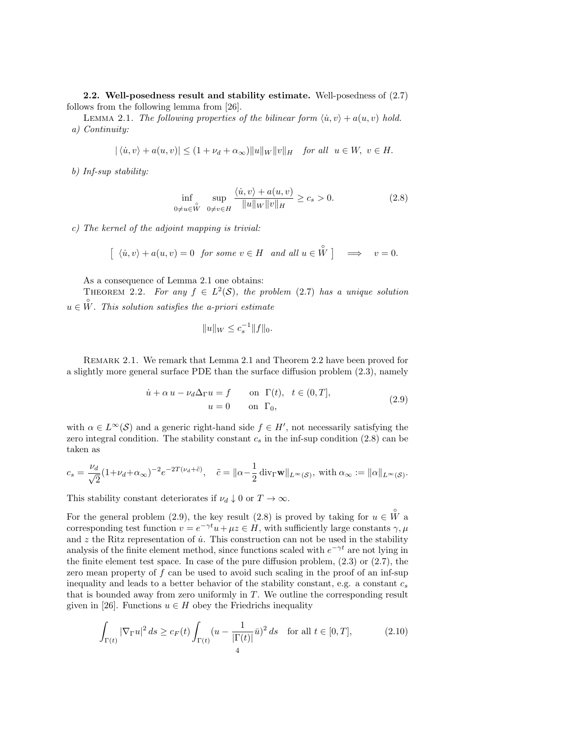2.2. Well-posedness result and stability estimate. Well-posedness of (2.7) follows from the following lemma from [26].

LEMMA 2.1. The following properties of the bilinear form  $\langle \dot{u}, v \rangle + a(u, v)$  hold. a) Continuity:

$$
|\langle \dot{u}, v \rangle + a(u, v)| \le (1 + \nu_d + \alpha_\infty) \|u\|_W \|v\|_H \quad \text{for all} \ \ u \in W, \ v \in H.
$$

b) Inf-sup stability:

$$
\inf_{0 \neq u \in \tilde{W}} \sup_{0 \neq v \in H} \frac{\langle \dot{u}, v \rangle + a(u, v)}{\|u\|_{W} \|v\|_{H}} \ge c_s > 0.
$$
\n(2.8)

c) The kernel of the adjoint mapping is trivial:

$$
\left[\begin{array}{ll}\langle \dot{u}, v \rangle + a(u, v) = 0 \quad \text{for some } v \in H \quad \text{and all } u \in \overset{\circ}{W} \end{array}\right] \implies v = 0.
$$

As a consequence of Lemma 2.1 one obtains:

THEOREM 2.2. For any  $f \in L^2(\mathcal{S})$ , the problem (2.7) has a unique solution  $u \in \overset{\circ}{W}$ . This solution satisfies the a-priori estimate

$$
||u||_W \le c_s^{-1} ||f||_0.
$$

Remark 2.1. We remark that Lemma 2.1 and Theorem 2.2 have been proved for a slightly more general surface PDE than the surface diffusion problem (2.3), namely

$$
\dot{u} + \alpha u - \nu_d \Delta_{\Gamma} u = f \qquad \text{on } \Gamma(t), \quad t \in (0, T],
$$
  

$$
u = 0 \qquad \text{on } \Gamma_0,
$$
 (2.9)

with  $\alpha \in L^{\infty}(\mathcal{S})$  and a generic right-hand side  $f \in H'$ , not necessarily satisfying the zero integral condition. The stability constant  $c_s$  in the inf-sup condition (2.8) can be taken as

$$
c_s = \frac{\nu_d}{\sqrt{2}} (1 + \nu_d + \alpha_\infty)^{-2} e^{-2T(\nu_d + \tilde{c})}, \quad \tilde{c} = \|\alpha - \frac{1}{2} \operatorname{div}_{\Gamma} \mathbf{w} \|_{L^\infty(\mathcal{S})}, \text{ with } \alpha_\infty := \|\alpha\|_{L^\infty(\mathcal{S})}.
$$

This stability constant deteriorates if  $\nu_d \downarrow 0$  or  $T \to \infty$ .

For the general problem (2.9), the key result (2.8) is proved by taking for  $u \in \overset{\circ}{W}$  a corresponding test function  $v = e^{-\gamma t}u + \mu z \in H$ , with sufficiently large constants  $\gamma, \mu$ and  $z$  the Ritz representation of  $\dot{u}$ . This construction can not be used in the stability analysis of the finite element method, since functions scaled with  $e^{-\gamma t}$  are not lying in the finite element test space. In case of the pure diffusion problem, (2.3) or (2.7), the zero mean property of f can be used to avoid such scaling in the proof of an inf-sup inequality and leads to a better behavior of the stability constant, e.g. a constant  $c_s$ that is bounded away from zero uniformly in T. We outline the corresponding result given in [26]. Functions  $u \in H$  obey the Friedrichs inequality

$$
\int_{\Gamma(t)} |\nabla_{\Gamma} u|^2 ds \ge c_F(t) \int_{\Gamma(t)} (u - \frac{1}{|\Gamma(t)|} \bar{u})^2 ds \quad \text{for all } t \in [0, T],
$$
\n(2.10)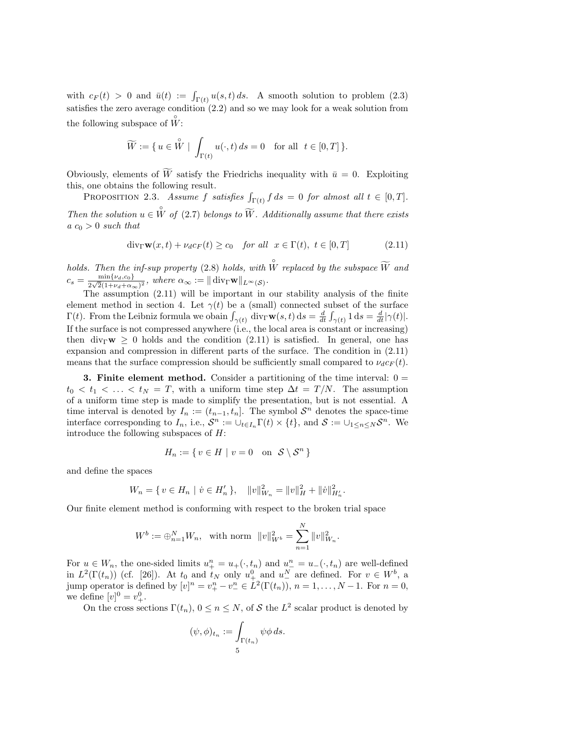with  $c_F(t) > 0$  and  $\bar{u}(t) := \int_{\Gamma(t)} u(s,t) ds$ . A smooth solution to problem (2.3) satisfies the zero average condition (2.2) and so we may look for a weak solution from the following subspace of  $\overset{\circ}{W}$ :

$$
\widetilde{W} := \{ u \in \overset{\circ}{W} \mid \int_{\Gamma(t)} u(\cdot, t) \, ds = 0 \quad \text{for all} \ \ t \in [0, T] \}.
$$

Obviously, elements of  $\widetilde{W}$  satisfy the Friedrichs inequality with  $\bar{u} = 0$ . Exploiting this, one obtains the following result.

PROPOSITION 2.3. Assume f satisfies  $\int_{\Gamma(t)} f ds = 0$  for almost all  $t \in [0, T]$ . Then the solution  $u \in \overset{\circ}{W}$  of (2.7) belongs to  $\widetilde{W}$ . Additionally assume that there exists  $a c<sub>0</sub> > 0$  such that

$$
div_{\Gamma}\mathbf{w}(x,t) + \nu_d c_F(t) \ge c_0 \quad for all \quad x \in \Gamma(t), \ t \in [0,T]
$$
 (2.11)

holds. Then the inf-sup property (2.8) holds, with  $\overset{\circ}{W}$  replaced by the subspace  $\widetilde{W}$  and  $c_s = \frac{\min\{\nu_d, c_0\}}{2\sqrt{2}(1+\nu + \alpha)}$  $\frac{\min\{\nu_d, c_0\}}{2\sqrt{2}(1+\nu_d+\alpha_\infty)^2}$ , where  $\alpha_\infty := \|\operatorname{div}_{\Gamma} \mathbf{w}\|_{L^\infty(\mathcal{S})}$ .

The assumption (2.11) will be important in our stability analysis of the finite element method in section 4. Let  $\gamma(t)$  be a (small) connected subset of the surface  $\Gamma(t)$ . From the Leibniz formula we obain  $\int_{\gamma(t)} \text{div}_{\Gamma} \mathbf{w}(s,t) \,ds = \frac{d}{dt} \int_{\gamma(t)} 1 \,ds = \frac{d}{dt} |\gamma(t)|$ . If the surface is not compressed anywhere  $(i.e., the local area is constant or increasing)$ then div<sub>Γ</sub>w  $\geq$  0 holds and the condition (2.11) is satisfied. In general, one has expansion and compression in different parts of the surface. The condition in (2.11) means that the surface compression should be sufficiently small compared to  $\nu_d c_F(t)$ .

**3. Finite element method.** Consider a partitioning of the time interval:  $0 =$  $t_0 < t_1 < \ldots < t_N = T$ , with a uniform time step  $\Delta t = T/N$ . The assumption of a uniform time step is made to simplify the presentation, but is not essential. A time interval is denoted by  $I_n := (t_{n-1}, t_n]$ . The symbol  $S^n$  denotes the space-time interface corresponding to  $I_n$ , i.e.,  $\mathcal{S}^n := \cup_{t \in I_n} \Gamma(t) \times \{t\}$ , and  $\mathcal{S} := \cup_{1 \leq n \leq N} \mathcal{S}^n$ . We introduce the following subspaces of H:

$$
H_n := \{ v \in H \mid v = 0 \text{ on } \mathcal{S} \setminus \mathcal{S}^n \}
$$

and define the spaces

$$
W_n = \{ v \in H_n \mid \dot{v} \in H'_n \}, \quad ||v||_{W_n}^2 = ||v||_H^2 + ||\dot{v}||_{H'_n}^2.
$$

Our finite element method is conforming with respect to the broken trial space

$$
W^{b} := \bigoplus_{n=1}^{N} W_n, \text{ with norm } ||v||_{W^{b}}^{2} = \sum_{n=1}^{N} ||v||_{W_{n}}^{2}.
$$

For  $u \in W_n$ , the one-sided limits  $u_+^n = u_+(\cdot, t_n)$  and  $u_-^n = u_-(\cdot, t_n)$  are well-defined in  $L^2(\Gamma(t_n))$  (cf. [26]). At  $t_0$  and  $t_N$  only  $u^0_+$  and  $u^N_-$  are defined. For  $v \in W^b$ , a jump operator is defined by  $[v]^n = v_+^n - v_-^n \in L^2(\Gamma(t_n)), n = 1, \ldots, N-1.$  For  $n = 0$ , we define  $[v]^{0} = v_{+}^{0}$ .

On the cross sections  $\Gamma(t_n)$ ,  $0 \le n \le N$ , of S the  $L^2$  scalar product is denoted by

$$
(\psi, \phi)_{t_n} := \int_{\Gamma(t_n)} \psi \phi \, ds.
$$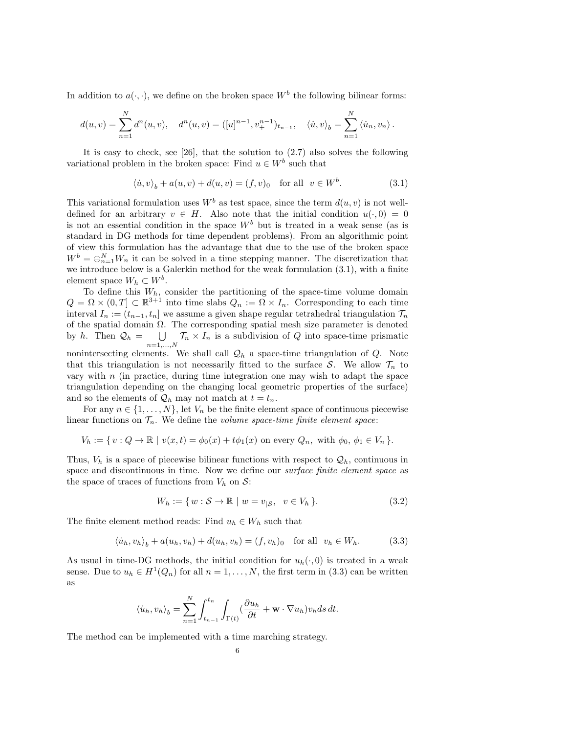In addition to  $a(\cdot, \cdot)$ , we define on the broken space  $W^b$  the following bilinear forms:

$$
d(u,v) = \sum_{n=1}^{N} d^n(u,v), \quad d^n(u,v) = ([u]^{n-1}, v_+^{n-1})_{t_{n-1}}, \quad \langle \dot{u}, v \rangle_b = \sum_{n=1}^{N} \langle \dot{u}_n, v_n \rangle.
$$

It is easy to check, see [26], that the solution to (2.7) also solves the following variational problem in the broken space: Find  $u \in W^b$  such that

$$
\langle \dot{u}, v \rangle_b + a(u, v) + d(u, v) = (f, v)_0 \quad \text{for all} \ \ v \in W^b. \tag{3.1}
$$

This variational formulation uses  $W^b$  as test space, since the term  $d(u, v)$  is not welldefined for an arbitrary  $v \in H$ . Also note that the initial condition  $u(\cdot, 0) = 0$ is not an essential condition in the space  $W<sup>b</sup>$  but is treated in a weak sense (as is standard in DG methods for time dependent problems). From an algorithmic point of view this formulation has the advantage that due to the use of the broken space  $W^b = \bigoplus_{n=1}^N W_n$  it can be solved in a time stepping manner. The discretization that we introduce below is a Galerkin method for the weak formulation (3.1), with a finite element space  $W_h \subset W^b$ .

To define this  $W_h$ , consider the partitioning of the space-time volume domain  $Q = \Omega \times (0,T] \subset \mathbb{R}^{3+1}$  into time slabs  $Q_n := \Omega \times I_n$ . Corresponding to each time interval  $I_n := (t_{n-1}, t_n]$  we assume a given shape regular tetrahedral triangulation  $\mathcal{T}_n$ of the spatial domain  $\Omega$ . The corresponding spatial mesh size parameter is denoted by h. Then  $\mathcal{Q}_h = \bigcup$  $\bigcup_{n=1,\dots,N} \mathcal{T}_n \times I_n$  is a subdivision of Q into space-time prismatic nonintersecting elements. We shall call  $\mathcal{Q}_h$  a space-time triangulation of  $Q$ . Note that this triangulation is not necessarily fitted to the surface S. We allow  $\mathcal{T}_n$  to vary with  $n$  (in practice, during time integration one may wish to adapt the space triangulation depending on the changing local geometric properties of the surface) and so the elements of  $\mathcal{Q}_h$  may not match at  $t = t_n$ .

For any  $n \in \{1, \ldots, N\}$ , let  $V_n$  be the finite element space of continuous piecewise linear functions on  $\mathcal{T}_n$ . We define the volume space-time finite element space:

$$
V_h := \{ v : Q \to \mathbb{R} \mid v(x, t) = \phi_0(x) + t\phi_1(x) \text{ on every } Q_n, \text{ with } \phi_0, \phi_1 \in V_n \}.
$$

Thus,  $V_h$  is a space of piecewise bilinear functions with respect to  $\mathcal{Q}_h$ , continuous in space and discontinuous in time. Now we define our *surface finite element space* as the space of traces of functions from  $V_h$  on  $\mathcal{S}$ :

$$
W_h := \{ w : \mathcal{S} \to \mathbb{R} \mid w = v_{|\mathcal{S}}, \ v \in V_h \}. \tag{3.2}
$$

The finite element method reads: Find  $u_h \in W_h$  such that

$$
\langle \dot{u}_h, v_h \rangle_b + a(u_h, v_h) + d(u_h, v_h) = (f, v_h)_0 \quad \text{for all} \quad v_h \in W_h. \tag{3.3}
$$

As usual in time-DG methods, the initial condition for  $u_h(\cdot, 0)$  is treated in a weak sense. Due to  $u_h \in H^1(Q_n)$  for all  $n = 1, ..., N$ , the first term in (3.3) can be written as

$$
\langle \dot{u}_h, v_h \rangle_b = \sum_{n=1}^N \int_{t_{n-1}}^{t_n} \int_{\Gamma(t)} (\frac{\partial u_h}{\partial t} + \mathbf{w} \cdot \nabla u_h) v_h ds dt.
$$

The method can be implemented with a time marching strategy.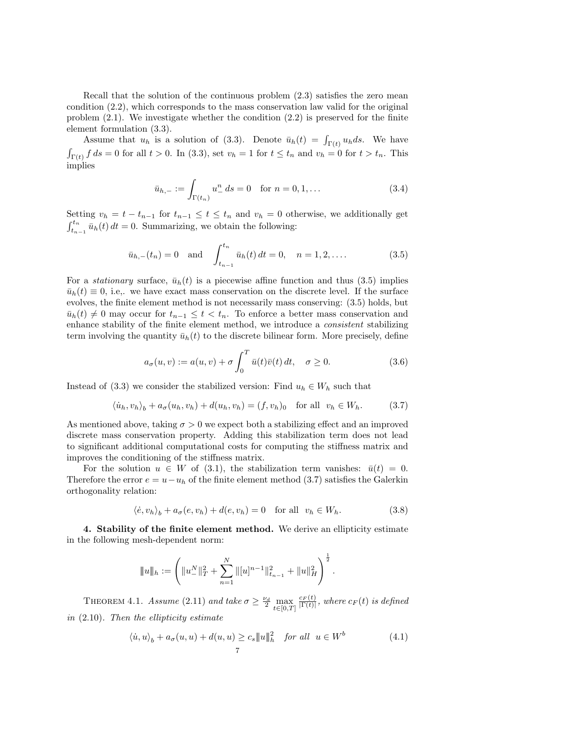Recall that the solution of the continuous problem (2.3) satisfies the zero mean condition (2.2), which corresponds to the mass conservation law valid for the original problem  $(2.1)$ . We investigate whether the condition  $(2.2)$  is preserved for the finite element formulation (3.3).

Assume that  $u_h$  is a solution of (3.3). Denote  $\bar{u}_h(t) = \int_{\Gamma(t)} u_h ds$ . We have  $\int_{\Gamma(t)} f ds = 0$  for all  $t > 0$ . In (3.3), set  $v_h = 1$  for  $t \le t_n$  and  $v_h = 0$  for  $t > t_n$ . This implies

$$
\bar{u}_{h,-} := \int_{\Gamma(t_n)} u_-^n \, ds = 0 \quad \text{for } n = 0, 1, \dots \tag{3.4}
$$

Setting  $v_h = t - t_{n-1}$  for  $t_{n-1} \le t \le t_n$  and  $v_h = 0$  otherwise, we additionally get  $\int_{t_{n-1}}^{t_n} \bar{u}_h(t) dt = 0$ . Summarizing, we obtain the following:

$$
\bar{u}_{h,-}(t_n) = 0
$$
 and  $\int_{t_{n-1}}^{t_n} \bar{u}_h(t) dt = 0, \quad n = 1, 2, ....$  (3.5)

For a *stationary* surface,  $\bar{u}_h(t)$  is a piecewise affine function and thus (3.5) implies  $\bar{u}_h(t) \equiv 0$ , i.e., we have exact mass conservation on the discrete level. If the surface evolves, the finite element method is not necessarily mass conserving: (3.5) holds, but  $\bar{u}_h(t) \neq 0$  may occur for  $t_{n-1} \leq t < t_n$ . To enforce a better mass conservation and enhance stability of the finite element method, we introduce a consistent stabilizing term involving the quantity  $\bar{u}_h(t)$  to the discrete bilinear form. More precisely, define

$$
a_{\sigma}(u,v) := a(u,v) + \sigma \int_0^T \bar{u}(t)\bar{v}(t) dt, \quad \sigma \ge 0.
$$
 (3.6)

Instead of (3.3) we consider the stabilized version: Find  $u_h \in W_h$  such that

$$
\langle \dot{u}_h, v_h \rangle_b + a_\sigma(u_h, v_h) + d(u_h, v_h) = (f, v_h)_0 \quad \text{for all} \quad v_h \in W_h. \tag{3.7}
$$

As mentioned above, taking  $\sigma > 0$  we expect both a stabilizing effect and an improved discrete mass conservation property. Adding this stabilization term does not lead to significant additional computational costs for computing the stiffness matrix and improves the conditioning of the stiffness matrix.

For the solution  $u \in W$  of (3.1), the stabilization term vanishes:  $\bar{u}(t) = 0$ . Therefore the error  $e = u - u_h$  of the finite element method (3.7) satisfies the Galerkin orthogonality relation:

$$
\langle \dot{e}, v_h \rangle_b + a_\sigma(e, v_h) + d(e, v_h) = 0 \quad \text{for all} \ \ v_h \in W_h. \tag{3.8}
$$

4. Stability of the finite element method. We derive an ellipticity estimate in the following mesh-dependent norm:

$$
||u||_h := \left(||u_-^N||_T^2 + \sum_{n=1}^N ||[u]^{n-1}||_{t_{n-1}}^2 + ||u||_H^2\right)^{\frac{1}{2}}.
$$

THEOREM 4.1. Assume (2.11) and take  $\sigma \geq \frac{\nu_d}{2} \max_{t \in [0,T]}$  $\frac{c_F(t)}{|\Gamma(t)|},$  where  $c_F(t)$  is defined in  $(2.10)$ . Then the ellipticity estimate

$$
\langle \dot{u}, u \rangle_b + a_\sigma(u, u) + d(u, u) \ge c_s \|u\|_h^2 \quad \text{for all} \quad u \in W^b \tag{4.1}
$$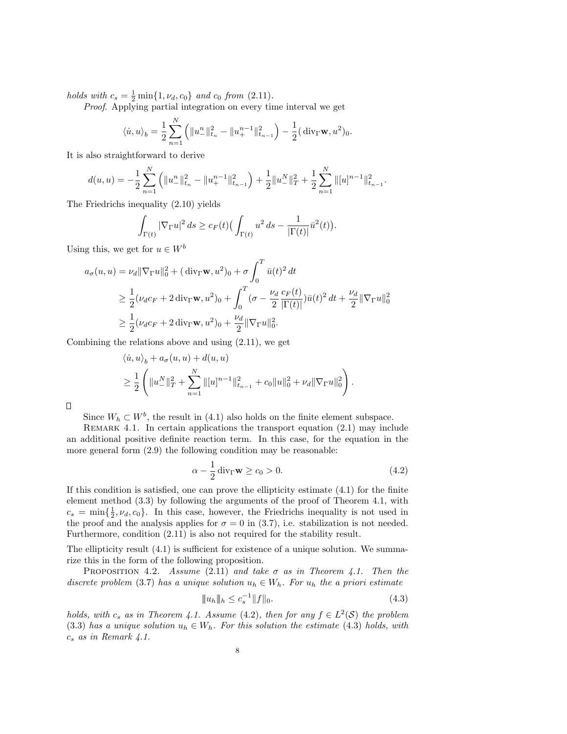holds with  $c_s = \frac{1}{2} \min\{1, \nu_d, c_0\}$  and  $c_0$  from  $(2.11)$ .

Proof. Applying partial integration on every time interval we get

$$
\langle \dot{u}, u \rangle_b = \frac{1}{2} \sum_{n=1}^N \left( \|u_{-}^n\|_{t_n}^2 - \|u_{+}^{n-1}\|_{t_{n-1}}^2 \right) - \frac{1}{2} (\operatorname{div}_{\Gamma} \mathbf{w}, u^2)_0.
$$

It is also straightforward to derive

$$
d(u, u) = -\frac{1}{2} \sum_{n=1}^{N} \left( \|u_{-}^{n}\|_{t_n}^{2} - \|u_{+}^{n-1}\|_{t_{n-1}}^{2} \right) + \frac{1}{2} \|u_{-}^{N}\|_{T}^{2} + \frac{1}{2} \sum_{n=1}^{N} \|[u]^{n-1}\|_{t_{n-1}}^{2}.
$$

The Friedrichs inequality (2.10) yields

$$
\int_{\Gamma(t)} |\nabla_{\Gamma} u|^2 ds \ge c_F(t) \Big( \int_{\Gamma(t)} u^2 ds - \frac{1}{|\Gamma(t)|} \bar{u}^2(t) \Big).
$$

Using this, we get for  $u \in W^b$ 

$$
a_{\sigma}(u, u) = \nu_{d} \|\nabla_{\Gamma} u\|_{0}^{2} + (\operatorname{div}_{\Gamma} \mathbf{w}, u^{2})_{0} + \sigma \int_{0}^{T} \bar{u}(t)^{2} dt
$$
  
\n
$$
\geq \frac{1}{2} (\nu_{d} c_{F} + 2 \operatorname{div}_{\Gamma} \mathbf{w}, u^{2})_{0} + \int_{0}^{T} (\sigma - \frac{\nu_{d}}{2} \frac{c_{F}(t)}{|\Gamma(t)|}) \bar{u}(t)^{2} dt + \frac{\nu_{d}}{2} \|\nabla_{\Gamma} u\|_{0}^{2}
$$
  
\n
$$
\geq \frac{1}{2} (\nu_{d} c_{F} + 2 \operatorname{div}_{\Gamma} \mathbf{w}, u^{2})_{0} + \frac{\nu_{d}}{2} \|\nabla_{\Gamma} u\|_{0}^{2}.
$$

Combining the relations above and using (2.11), we get

$$
\langle \dot{u}, u \rangle_b + a_\sigma(u, u) + d(u, u)
$$
  
\n
$$
\geq \frac{1}{2} \left( \|u^N_-\|_T^2 + \sum_{n=1}^N \| [u]^{n-1} \|_{t_{n-1}}^2 + c_0 \|u\|_0^2 + \nu_d \|\nabla_\Gamma u\|_0^2 \right).
$$

 $\Box$ 

Since  $W_h \subset W^b$ , the result in (4.1) also holds on the finite element subspace.

REMARK 4.1. In certain applications the transport equation  $(2.1)$  may include an additional positive definite reaction term. In this case, for the equation in the more general form (2.9) the following condition may be reasonable:

$$
\alpha - \frac{1}{2} \operatorname{div}_{\Gamma} \mathbf{w} \ge c_0 > 0. \tag{4.2}
$$

If this condition is satisfied, one can prove the ellipticity estimate (4.1) for the finite element method (3.3) by following the arguments of the proof of Theorem 4.1, with  $c_s = \min\{\frac{1}{2}, \nu_d, c_0\}$ . In this case, however, the Friedrichs inequality is not used in the proof and the analysis applies for  $\sigma = 0$  in (3.7), i.e. stabilization is not needed. Furthermore, condition (2.11) is also not required for the stability result.

The ellipticity result  $(4.1)$  is sufficient for existence of a unique solution. We summarize this in the form of the following proposition.

PROPOSITION 4.2. Assume (2.11) and take  $\sigma$  as in Theorem 4.1. Then the discrete problem (3.7) has a unique solution  $u_h \in W_h$ . For  $u_h$  the a priori estimate

$$
||u_h||_h \le c_s^{-1}||f||_0.
$$
\n(4.3)

holds, with  $c_s$  as in Theorem 4.1. Assume (4.2), then for any  $f \in L^2(\mathcal{S})$  the problem (3.3) has a unique solution  $u_h \in W_h$ . For this solution the estimate (4.3) holds, with  $c_s$  as in Remark 4.1.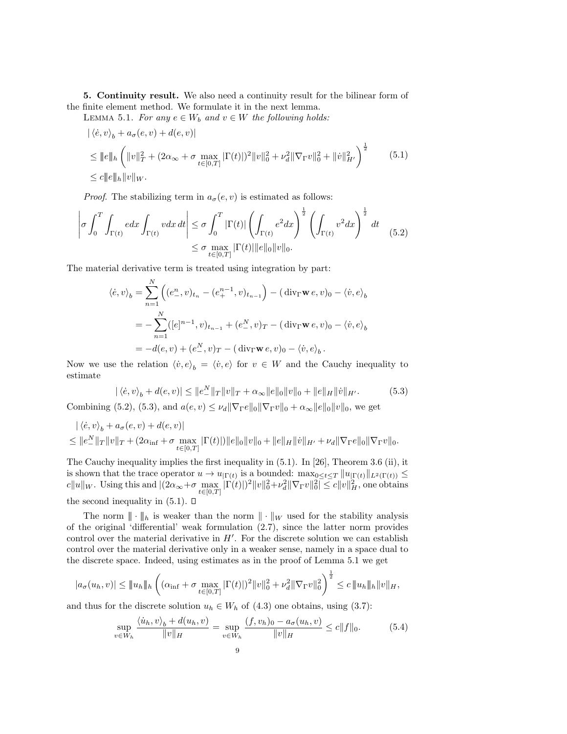5. Continuity result. We also need a continuity result for the bilinear form of the finite element method. We formulate it in the next lemma.

LEMMA 5.1. For any  $e \in W_b$  and  $v \in W$  the following holds:

$$
\begin{split} & \left| \langle \dot{e}, v \rangle_b + a_{\sigma}(e, v) + d(e, v) \right| \\ &\le \|e\|_h \left( \|v\|_T^2 + (2\alpha_{\infty} + \sigma \max_{t \in [0, T]} |\Gamma(t)|)^2 \|v\|_0^2 + \nu_d^2 \|\nabla_\Gamma v\|_0^2 + \|\dot{v}\|_{H'}^2 \right)^{\frac{1}{2}} \\ &\le c \|e\|_h \|v\|_W. \end{split} \tag{5.1}
$$

*Proof.* The stabilizing term in  $a_{\sigma}(e, v)$  is estimated as follows:

$$
\left|\sigma \int_0^T \int_{\Gamma(t)} e dx \int_{\Gamma(t)} v dx dt \right| \leq \sigma \int_0^T |\Gamma(t)| \left( \int_{\Gamma(t)} e^2 dx \right)^{\frac{1}{2}} \left( \int_{\Gamma(t)} v^2 dx \right)^{\frac{1}{2}} dt
$$
\n
$$
\leq \sigma \max_{t \in [0,T]} |\Gamma(t)| ||e||_0 ||v||_0.
$$
\n(5.2)

The material derivative term is treated using integration by part:

$$
\langle \dot{e}, v \rangle_b = \sum_{n=1}^N \left( (e_-^n, v)_{t_n} - (e_+^{n-1}, v)_{t_{n-1}} \right) - (\text{div}_{\Gamma} \mathbf{w} \, e, v)_0 - \langle \dot{v}, e \rangle_b
$$
  
= 
$$
- \sum_{n=1}^N ([e]^{n-1}, v)_{t_{n-1}} + (e_-^N, v)_T - (\text{div}_{\Gamma} \mathbf{w} \, e, v)_0 - \langle \dot{v}, e \rangle_b
$$
  
= 
$$
-d(e, v) + (e_-^N, v)_T - (\text{div}_{\Gamma} \mathbf{w} \, e, v)_0 - \langle \dot{v}, e \rangle_b.
$$

Now we use the relation  $\langle v, e \rangle_b = \langle v, e \rangle$  for  $v \in W$  and the Cauchy inequality to estimate

$$
|\langle \dot{e}, v \rangle_b + d(e, v)| \le ||e^N_-||_T ||v||_T + \alpha_{\infty} ||e||_0 ||v||_0 + ||e||_H ||\dot{v}||_{H'}.
$$
 (5.3)

Combining (5.2), (5.3), and  $a(e, v) \leq \nu_d \|\nabla_{\Gamma} e\|_0 \|\nabla_{\Gamma} v\|_0 + \alpha_{\infty} \|e\|_0 \|v\|_0$ , we get

$$
\langle \dot{e}, v \rangle_b + a_{\sigma}(e, v) + d(e, v) |
$$
  
\n
$$
\leq ||e_{-}^{N}||_{T} ||v||_{T} + (2\alpha_{\inf} + \sigma \max_{t \in [0, T]} |\Gamma(t)|) ||e||_{0} ||v||_{0} + ||e||_{H} ||\dot{v}||_{H'} + \nu_{d} ||\nabla_{\Gamma}e||_{0} ||\nabla_{\Gamma}v||_{0}.
$$

The Cauchy inequality implies the first inequality in (5.1). In [26], Theorem 3.6 (ii), it is shown that the trace operator  $u \to u_{|\Gamma(t)}$  is a bounded:  $\max_{0 \leq t \leq T} ||u_{|\Gamma(t)}||_{L^2(\Gamma(t))} \leq$  $c||u||_W$ . Using this and  $|(2\alpha_{\infty}+\sigma\max_{t\in[0,T]}|\Gamma(t)|)^2||v||_0^2+\nu_d^2||\nabla_{\Gamma}v||_0^2|\leq c||v||_H^2$ , one obtains the second inequality in  $(5.1)$ .  $\Box$ 

The norm  $\|\cdot\|_h$  is weaker than the norm  $\|\cdot\|_W$  used for the stability analysis of the original 'differential' weak formulation (2.7), since the latter norm provides control over the material derivative in  $H'$ . For the discrete solution we can establish control over the material derivative only in a weaker sense, namely in a space dual to the discrete space. Indeed, using estimates as in the proof of Lemma 5.1 we get

$$
|a_{\sigma}(u_h, v)| \le ||u_h||_h \left( (\alpha_{\inf} + \sigma \max_{t \in [0,T]} |\Gamma(t)|)^2 ||v||_0^2 + \nu_d^2 ||\nabla_{\Gamma}v||_0^2 \right)^{\frac{1}{2}} \le c ||u_h||_h ||v||_H,
$$

and thus for the discrete solution  $u_h \in W_h$  of (4.3) one obtains, using (3.7):

$$
\sup_{v \in W_h} \frac{\langle \dot{u}_h, v \rangle_b + d(u_h, v)}{\|v\|_H} = \sup_{v \in W_h} \frac{(f, v_h)_0 - a_\sigma(u_h, v)}{\|v\|_H} \le c \|f\|_0.
$$
 (5.4)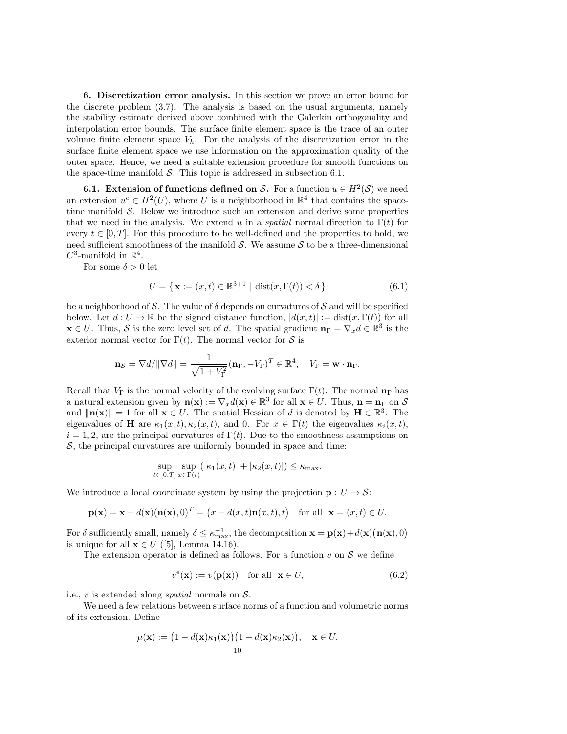6. Discretization error analysis. In this section we prove an error bound for the discrete problem (3.7). The analysis is based on the usual arguments, namely the stability estimate derived above combined with the Galerkin orthogonality and interpolation error bounds. The surface finite element space is the trace of an outer volume finite element space  $V_h$ . For the analysis of the discretization error in the surface finite element space we use information on the approximation quality of the outer space. Hence, we need a suitable extension procedure for smooth functions on the space-time manifold  $S$ . This topic is addressed in subsection 6.1.

**6.1.** Extension of functions defined on S. For a function  $u \in H^2(\mathcal{S})$  we need an extension  $u^e \in H^2(U)$ , where U is a neighborhood in  $\mathbb{R}^4$  that contains the spacetime manifold  $S$ . Below we introduce such an extension and derive some properties that we need in the analysis. We extend u in a *spatial* normal direction to  $\Gamma(t)$  for every  $t \in [0, T]$ . For this procedure to be well-defined and the properties to hold, we need sufficient smoothness of the manifold  $S$ . We assume  $S$  to be a three-dimensional  $C^3$ -manifold in  $\mathbb{R}^4$ .

For some  $\delta > 0$  let

$$
U = \{ \mathbf{x} := (x, t) \in \mathbb{R}^{3+1} \mid \text{dist}(x, \Gamma(t)) < \delta \}
$$
\n(6.1)

be a neighborhood of S. The value of  $\delta$  depends on curvatures of S and will be specified below. Let  $d: U \to \mathbb{R}$  be the signed distance function,  $|d(x,t)| := \text{dist}(x,\Gamma(t))$  for all  $\mathbf{x} \in U$ . Thus, S is the zero level set of d. The spatial gradient  $\mathbf{n}_{\Gamma} = \nabla_x d \in \mathbb{R}^3$  is the exterior normal vector for  $\Gamma(t)$ . The normal vector for S is

$$
\mathbf{n}_{\mathcal{S}} = \nabla d / \|\nabla d\| = \frac{1}{\sqrt{1 + V_{\Gamma}^2}} (\mathbf{n}_{\Gamma}, -V_{\Gamma})^T \in \mathbb{R}^4, \quad V_{\Gamma} = \mathbf{w} \cdot \mathbf{n}_{\Gamma}.
$$

Recall that  $V_{\Gamma}$  is the normal velocity of the evolving surface  $\Gamma(t)$ . The normal  $\mathbf{n}_{\Gamma}$  has a natural extension given by  $\mathbf{n}(\mathbf{x}) := \nabla_x d(\mathbf{x}) \in \mathbb{R}^3$  for all  $\mathbf{x} \in U$ . Thus,  $\mathbf{n} = \mathbf{n} \infty$  on S and  $\|\mathbf{n}(\mathbf{x})\| = 1$  for all  $\mathbf{x} \in U$ . The spatial Hessian of d is denoted by  $\mathbf{H} \in \mathbb{R}^3$ . The eigenvalues of H are  $\kappa_1(x,t), \kappa_2(x,t)$ , and 0. For  $x \in \Gamma(t)$  the eigenvalues  $\kappa_i(x,t)$ ,  $i = 1, 2$ , are the principal curvatures of  $\Gamma(t)$ . Due to the smoothness assumptions on  $S$ , the principal curvatures are uniformly bounded in space and time:

$$
\sup_{t\in[0,T]}\sup_{x\in\Gamma(t)}(|\kappa_1(x,t)|+|\kappa_2(x,t)|)\leq \kappa_{\max}.
$$

We introduce a local coordinate system by using the projection  $\mathbf{p}: U \to \mathcal{S}$ :

$$
\mathbf{p}(\mathbf{x}) = \mathbf{x} - d(\mathbf{x})(\mathbf{n}(\mathbf{x}), 0)^T = (x - d(x, t)\mathbf{n}(x, t), t) \text{ for all } \mathbf{x} = (x, t) \in U.
$$

For  $\delta$  sufficiently small, namely  $\delta \leq \kappa_{\max}^{-1}$ , the decomposition  $\mathbf{x} = \mathbf{p}(\mathbf{x}) + d(\mathbf{x})(\mathbf{n}(\mathbf{x}), 0)$ is unique for all  $\mathbf{x} \in U$  ([5], Lemma 14.16).

The extension operator is defined as follows. For a function  $v$  on  $S$  we define

$$
v^{e}(\mathbf{x}) := v(\mathbf{p}(\mathbf{x})) \quad \text{for all} \quad \mathbf{x} \in U,
$$
\n(6.2)

i.e.,  $v$  is extended along *spatial* normals on  $S$ .

We need a few relations between surface norms of a function and volumetric norms of its extension. Define

$$
\mu(\mathbf{x}) := \big(1 - d(\mathbf{x})\kappa_1(\mathbf{x})\big)\big(1 - d(\mathbf{x})\kappa_2(\mathbf{x})\big), \quad \mathbf{x} \in U.
$$
  
10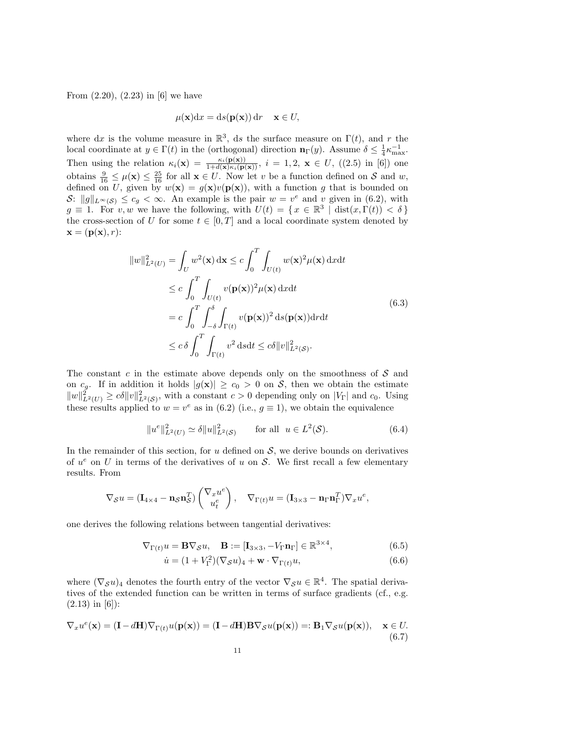From  $(2.20)$ ,  $(2.23)$  in [6] we have

$$
\mu(\mathbf{x})dx = ds(\mathbf{p}(\mathbf{x})) dr \quad \mathbf{x} \in U,
$$

where dx is the volume measure in  $\mathbb{R}^3$ , ds the surface measure on  $\Gamma(t)$ , and r the local coordinate at  $y \in \Gamma(t)$  in the (orthogonal) direction  $\mathbf{n}_{\Gamma}(y)$ . Assume  $\delta \leq \frac{1}{4} \kappa_{\max}^{-1}$ . Then using the relation  $\kappa_i(\mathbf{x}) = \frac{\kappa_i(\mathbf{p}(\mathbf{x}))}{1+d(\mathbf{x})\kappa_i(\mathbf{p}(\mathbf{x}))}, i = 1, 2, \mathbf{x} \in U, ((2.5) \text{ in } [6])$  one obtains  $\frac{9}{16} \leq \mu(\mathbf{x}) \leq \frac{25}{16}$  for all  $\mathbf{x} \in U$ . Now let v be a function defined on S and w, defined on U, given by  $w(\mathbf{x}) = g(\mathbf{x})v(\mathbf{p}(\mathbf{x}))$ , with a function g that is bounded on S:  $||g||_{L^{\infty}(S)} \leq c_g < \infty$ . An example is the pair  $w = v^e$  and v given in (6.2), with  $g \equiv 1$ . For v, w we have the following, with  $U(t) = \{x \in \mathbb{R}^3 \mid \text{dist}(x, \Gamma(t)) < \delta\}$ the cross-section of U for some  $t \in [0, T]$  and a local coordinate system denoted by  $\mathbf{x} = (\mathbf{p}(\mathbf{x}), r)$ :

$$
||w||_{L^{2}(U)}^{2} = \int_{U} w^{2}(\mathbf{x}) d\mathbf{x} \leq c \int_{0}^{T} \int_{U(t)} w(\mathbf{x})^{2} \mu(\mathbf{x}) dxdt
$$
  
\n
$$
\leq c \int_{0}^{T} \int_{U(t)} v(\mathbf{p}(\mathbf{x}))^{2} \mu(\mathbf{x}) dxdt
$$
  
\n
$$
= c \int_{0}^{T} \int_{-\delta}^{\delta} \int_{\Gamma(t)} v(\mathbf{p}(\mathbf{x}))^{2} d s(\mathbf{p}(\mathbf{x})) drdt
$$
  
\n
$$
\leq c \delta \int_{0}^{T} \int_{\Gamma(t)} v^{2} d s dt \leq c \delta ||v||_{L^{2}(S)}^{2}.
$$
\n(6.3)

The constant c in the estimate above depends only on the smoothness of  $S$  and on  $c_g$ . If in addition it holds  $|g(\mathbf{x})| \geq c_0 > 0$  on S, then we obtain the estimate  $||w||_{L^2(U)}^2 \ge c\delta ||v||_{L^2(\mathcal{S})}^2$ , with a constant  $c > 0$  depending only on  $|V_{\Gamma}|\$  and  $c_0$ . Using these results applied to  $w = v^e$  as in (6.2) (i.e.,  $g \equiv 1$ ), we obtain the equivalence

$$
||u^e||_{L^2(U)}^2 \simeq \delta ||u||_{L^2(\mathcal{S})}^2 \qquad \text{for all} \ \ u \in L^2(\mathcal{S}). \tag{6.4}
$$

In the remainder of this section, for  $u$  defined on  $S$ , we derive bounds on derivatives of  $u^e$  on U in terms of the derivatives of u on S. We first recall a few elementary results. From

$$
\nabla_{\mathcal{S}} u = (\mathbf{I}_{4 \times 4} - \mathbf{n}_{\mathcal{S}} \mathbf{n}_{\mathcal{S}}^T) \begin{pmatrix} \nabla_x u^e \\ u^e_t \end{pmatrix}, \quad \nabla_{\Gamma(t)} u = (\mathbf{I}_{3 \times 3} - \mathbf{n}_{\Gamma} \mathbf{n}_{\Gamma}^T) \nabla_x u^e,
$$

one derives the following relations between tangential derivatives:

$$
\nabla_{\Gamma(t)} u = \mathbf{B} \nabla_{\mathcal{S}} u, \quad \mathbf{B} := [\mathbf{I}_{3 \times 3}, -V_{\Gamma} \mathbf{n}_{\Gamma}] \in \mathbb{R}^{3 \times 4}, \tag{6.5}
$$

$$
\dot{u} = (1 + V_{\Gamma}^2)(\nabla_{\mathcal{S}} u)_4 + \mathbf{w} \cdot \nabla_{\Gamma(t)} u,\tag{6.6}
$$

where  $(\nabla_{\mathcal{S}} u)_4$  denotes the fourth entry of the vector  $\nabla_{\mathcal{S}} u \in \mathbb{R}^4$ . The spatial derivatives of the extended function can be written in terms of surface gradients (cf., e.g.  $(2.13)$  in [6]):

$$
\nabla_x u^e(\mathbf{x}) = (\mathbf{I} - d\mathbf{H}) \nabla_{\Gamma(t)} u(\mathbf{p}(\mathbf{x})) = (\mathbf{I} - d\mathbf{H}) \mathbf{B} \nabla_{\mathcal{S}} u(\mathbf{p}(\mathbf{x})) =: \mathbf{B}_1 \nabla_{\mathcal{S}} u(\mathbf{p}(\mathbf{x})), \quad \mathbf{x} \in U.
$$
\n(6.7)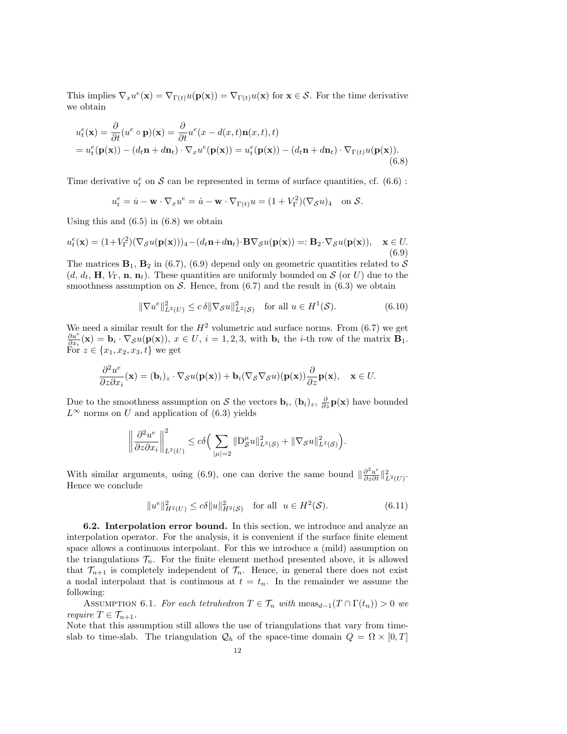This implies  $\nabla_x u^e(\mathbf{x}) = \nabla_{\Gamma(t)} u(\mathbf{p}(\mathbf{x})) = \nabla_{\Gamma(t)} u(\mathbf{x})$  for  $\mathbf{x} \in \mathcal{S}$ . For the time derivative we obtain

$$
u_t^e(\mathbf{x}) = \frac{\partial}{\partial t}(u^e \circ \mathbf{p})(\mathbf{x}) = \frac{\partial}{\partial t}u^e(x - d(x, t)\mathbf{n}(x, t), t)
$$
  
=  $u_t^e(\mathbf{p}(\mathbf{x})) - (d_t \mathbf{n} + d\mathbf{n}_t) \cdot \nabla_x u^e(\mathbf{p}(\mathbf{x})) = u_t^e(\mathbf{p}(\mathbf{x})) - (d_t \mathbf{n} + d\mathbf{n}_t) \cdot \nabla_{\Gamma(t)} u(\mathbf{p}(\mathbf{x})).$  (6.8)

Time derivative  $u_t^e$  on  $S$  can be represented in terms of surface quantities, cf. (6.6):

$$
u_t^e = \dot{u} - \mathbf{w} \cdot \nabla_x u^e = \dot{u} - \mathbf{w} \cdot \nabla_{\Gamma(t)} u = (1 + V_{\Gamma}^2)(\nabla_{\mathcal{S}} u)_4 \quad \text{on } \mathcal{S}.
$$

Using this and  $(6.5)$  in  $(6.8)$  we obtain

$$
u_t^e(\mathbf{x}) = (1 + V_{\Gamma}^2)(\nabla_{\mathcal{S}}u(\mathbf{p}(\mathbf{x})))_4 - (d_t \mathbf{n} + d\mathbf{n}_t) \cdot \mathbf{B} \nabla_{\mathcal{S}}u(\mathbf{p}(\mathbf{x})) =: \mathbf{B}_2 \cdot \nabla_{\mathcal{S}}u(\mathbf{p}(\mathbf{x})), \quad \mathbf{x} \in U. \tag{6.9}
$$

The matrices  $\mathbf{B}_1$ ,  $\mathbf{B}_2$  in (6.7), (6.9) depend only on geometric quantities related to  $\mathcal{S}$  $(d, d_t, \mathbf{H}, V_{\Gamma}, \mathbf{n}, \mathbf{n}_t)$ . These quantities are uniformly bounded on S (or U) due to the smoothness assumption on S. Hence, from  $(6.7)$  and the result in  $(6.3)$  we obtain

$$
\|\nabla u^e\|_{L^2(U)}^2 \le c\,\delta \|\nabla_{\mathcal{S}}u\|_{L^2(\mathcal{S})}^2 \quad \text{for all } u \in H^1(\mathcal{S}).\tag{6.10}
$$

We need a similar result for the  $H^2$  volumetric and surface norms. From (6.7) we get  $\frac{\partial u^e}{\partial x_i}(\mathbf{x}) = \mathbf{b}_i \cdot \nabla_{\mathcal{S}} u(\mathbf{p}(\mathbf{x}))$ ,  $x \in U$ ,  $i = 1, 2, 3$ , with  $\mathbf{b}_i$  the *i*-th row of the matrix  $\mathbf{B}_1$ . For  $z \in \{x_1, x_2, x_3, t\}$  we get

$$
\frac{\partial^2 u^e}{\partial z \partial x_i}(\mathbf{x}) = (\mathbf{b}_i)_z \cdot \nabla_S u(\mathbf{p}(\mathbf{x})) + \mathbf{b}_i(\nabla_S \nabla_S u)(\mathbf{p}(\mathbf{x})) \frac{\partial}{\partial z} \mathbf{p}(\mathbf{x}), \quad \mathbf{x} \in U.
$$

Due to the smoothness assumption on S the vectors  $\mathbf{b}_i$ ,  $(\mathbf{b}_i)_z$ ,  $\frac{\partial}{\partial z}\mathbf{p}(\mathbf{x})$  have bounded  $L^{\infty}$  norms on U and application of (6.3) yields

$$
\left\|\frac{\partial^2 u^e}{\partial z \partial x_i}\right\|_{L^2(U)}^2 \leq c\delta \Big(\sum_{|\mu|=2} \|D_{\mathcal{S}}^{\mu} u\|_{L^2(\mathcal{S})}^2 + \|\nabla_{\mathcal{S}} u\|_{L^2(\mathcal{S})}^2\Big).
$$

With similar arguments, using (6.9), one can derive the same bound  $\|\frac{\partial^2 u^e}{\partial z \partial t}\|^2_{L^2(U)}$ . Hence we conclude

$$
||u^e||_{H^2(U)}^2 \le c\delta ||u||_{H^2(\mathcal{S})}^2 \quad \text{for all} \ \ u \in H^2(\mathcal{S}).\tag{6.11}
$$

6.2. Interpolation error bound. In this section, we introduce and analyze an interpolation operator. For the analysis, it is convenient if the surface finite element space allows a continuous interpolant. For this we introduce a (mild) assumption on the triangulations  $\mathcal{T}_n$ . For the finite element method presented above, it is allowed that  $\mathcal{T}_{n+1}$  is completely independent of  $\mathcal{T}_n$ . Hence, in general there does not exist a nodal interpolant that is continuous at  $t = t_n$ . In the remainder we assume the following:

ASSUMPTION 6.1. For each tetrahedron  $T \in \mathcal{T}_n$  with  $\text{meas}_{d-1}(T \cap \Gamma(t_n)) > 0$  we require  $T \in \mathcal{T}_{n+1}$ .

Note that this assumption still allows the use of triangulations that vary from timeslab to time-slab. The triangulation  $\mathcal{Q}_h$  of the space-time domain  $Q = \Omega \times [0, T]$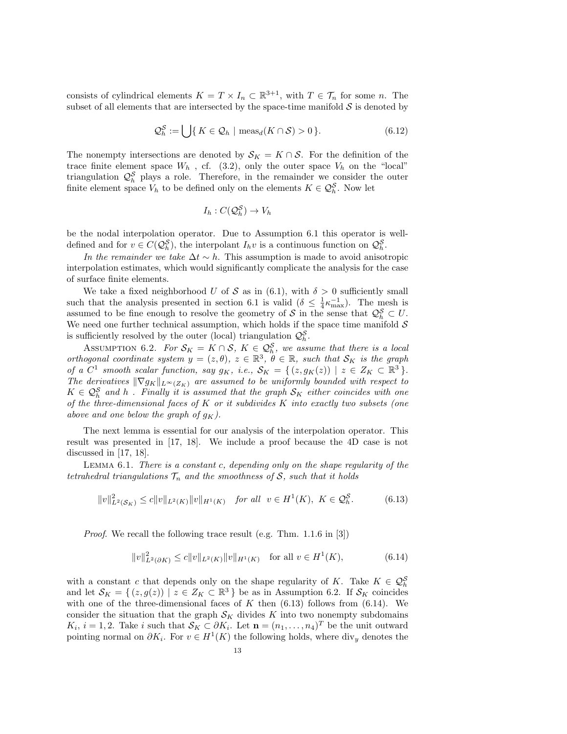consists of cylindrical elements  $K = T \times I_n \subset \mathbb{R}^{3+1}$ , with  $T \in \mathcal{T}_n$  for some n. The subset of all elements that are intersected by the space-time manifold  $S$  is denoted by

$$
\mathcal{Q}_h^{\mathcal{S}} := \bigcup \{ K \in \mathcal{Q}_h \mid \text{meas}_d(K \cap \mathcal{S}) > 0 \}. \tag{6.12}
$$

The nonempty intersections are denoted by  $S_K = K \cap S$ . For the definition of the trace finite element space  $W_h$ , cf. (3.2), only the outer space  $V_h$  on the "local" triangulation  $\mathcal{Q}_h^S$  plays a role. Therefore, in the remainder we consider the outer finite element space  $V_h$  to be defined only on the elements  $K \in \mathcal{Q}_h^{\mathcal{S}}$ . Now let

$$
I_h: C(\mathcal{Q}_h^{\mathcal{S}}) \to V_h
$$

be the nodal interpolation operator. Due to Assumption 6.1 this operator is welldefined and for  $v \in C(Q_h^{\mathcal{S}})$ , the interpolant  $I_h v$  is a continuous function on  $Q_h^{\mathcal{S}}$ .

In the remainder we take  $\Delta t \sim h$ . This assumption is made to avoid anisotropic interpolation estimates, which would significantly complicate the analysis for the case of surface finite elements.

We take a fixed neighborhood U of S as in (6.1), with  $\delta > 0$  sufficiently small such that the analysis presented in section 6.1 is valid  $(\delta \leq \frac{1}{4} \kappa_{\max}^{-1})$ . The mesh is assumed to be fine enough to resolve the geometry of S in the sense that  $\mathcal{Q}_h^{\mathcal{S}} \subset U$ . We need one further technical assumption, which holds if the space time manifold  $\mathcal S$ is sufficiently resolved by the outer (local) triangulation  $\mathcal{Q}_{h}^{\mathcal{S}}$ .

ASSUMPTION 6.2. For  $S_K = K \cap S$ ,  $K \in \mathcal{Q}_h^S$ , we assume that there is a local orthogonal coordinate system  $y = (z, \theta), z \in \mathbb{R}^3, \theta \in \mathbb{R}$ , such that  $\mathcal{S}_K$  is the graph of a  $C^1$  smooth scalar function, say  $g_K$ , i.e.,  $\mathcal{S}_K = \{ (z, g_K(z)) \mid z \in Z_K \subset \mathbb{R}^3 \}.$ The derivatives  $\|\nabla g_K\|_{L^\infty(Z_K)}$  are assumed to be uniformly bounded with respect to  $K \in \mathcal{Q}_{h}^{\mathcal{S}}$  and h. Finally it is assumed that the graph  $\mathcal{S}_{K}$  either coincides with one of the three-dimensional faces of  $K$  or it subdivides  $K$  into exactly two subsets (one above and one below the graph of  $q_K$ ).

The next lemma is essential for our analysis of the interpolation operator. This result was presented in [17, 18]. We include a proof because the 4D case is not discussed in [17, 18].

LEMMA  $6.1$ . There is a constant c, depending only on the shape regularity of the tetrahedral triangulations  $\mathcal{T}_n$  and the smoothness of S, such that it holds

$$
||v||_{L^{2}(\mathcal{S}_{K})}^{2} \le c||v||_{L^{2}(K)}||v||_{H^{1}(K)} \quad \text{for all} \ \ v \in H^{1}(K), \ K \in \mathcal{Q}_{h}^{\mathcal{S}}.
$$
 (6.13)

Proof. We recall the following trace result (e.g. Thm. 1.1.6 in [3])

$$
||v||_{L^{2}(\partial K)}^{2} \le c||v||_{L^{2}(K)}||v||_{H^{1}(K)} \quad \text{for all } v \in H^{1}(K),
$$
 (6.14)

with a constant c that depends only on the shape regularity of K. Take  $K \in \mathcal{Q}_h^S$ and let  $\mathcal{S}_K = \{ (z, g(z)) \mid z \in Z_K \subset \mathbb{R}^3 \}$  be as in Assumption 6.2. If  $\mathcal{S}_K$  coincides with one of the three-dimensional faces of  $K$  then (6.13) follows from (6.14). We consider the situation that the graph  $\mathcal{S}_K$  divides K into two nonempty subdomains  $K_i$ ,  $i = 1, 2$ . Take i such that  $\mathcal{S}_K \subset \partial K_i$ . Let  $\mathbf{n} = (n_1, \ldots, n_4)^T$  be the unit outward pointing normal on  $\partial K_i$ . For  $v \in H^1(K)$  the following holds, where div<sub>y</sub> denotes the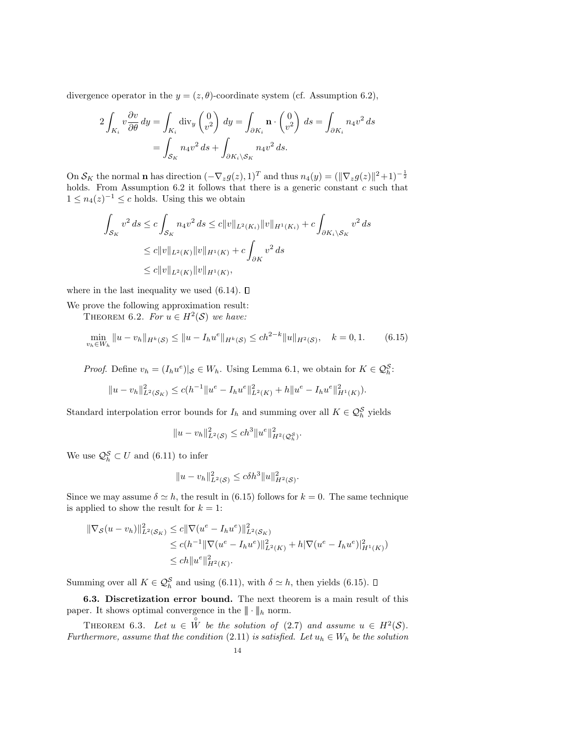divergence operator in the  $y = (z, \theta)$ -coordinate system (cf. Assumption 6.2),

$$
2\int_{K_i} v \frac{\partial v}{\partial \theta} dy = \int_{K_i} \operatorname{div}_y \begin{pmatrix} 0 \\ v^2 \end{pmatrix} dy = \int_{\partial K_i} \mathbf{n} \cdot \begin{pmatrix} 0 \\ v^2 \end{pmatrix} ds = \int_{\partial K_i} n_4 v^2 ds
$$

$$
= \int_{S_K} n_4 v^2 ds + \int_{\partial K_i \backslash S_K} n_4 v^2 ds.
$$

On  $S_K$  the normal **n** has direction  $(-\nabla_z g(z), 1)^T$  and thus  $n_4(y) = (\|\nabla_z g(z)\|^2 + 1)^{-\frac{1}{2}}$ holds. From Assumption 6.2 it follows that there is a generic constant c such that  $1 \leq n_4(z)^{-1} \leq c$  holds. Using this we obtain

$$
\int_{\mathcal{S}_K} v^2 ds \le c \int_{\mathcal{S}_K} n_4 v^2 ds \le c \|v\|_{L^2(K_i)} \|v\|_{H^1(K_i)} + c \int_{\partial K_i \backslash \mathcal{S}_K} v^2 ds
$$
  
\n
$$
\le c \|v\|_{L^2(K)} \|v\|_{H^1(K)} + c \int_{\partial K} v^2 ds
$$
  
\n
$$
\le c \|v\|_{L^2(K)} \|v\|_{H^1(K)},
$$

where in the last inequality we used  $(6.14)$ .  $\Box$ 

We prove the following approximation result:

THEOREM 6.2. For  $u \in H^2(\mathcal{S})$  we have:

$$
\min_{v_h \in W_h} \|u - v_h\|_{H^k(\mathcal{S})} \le \|u - I_h u^e\|_{H^k(\mathcal{S})} \le ch^{2-k} \|u\|_{H^2(\mathcal{S})}, \quad k = 0, 1. \tag{6.15}
$$

*Proof.* Define  $v_h = (I_h u^e)|_{\mathcal{S}} \in W_h$ . Using Lemma 6.1, we obtain for  $K \in \mathcal{Q}_h^{\mathcal{S}}$ .

$$
||u - v_h||_{L^2(\mathcal{S}_K)}^2 \le c(h^{-1}||u^e - I_hu^e||_{L^2(K)}^2 + h||u^e - I_hu^e||_{H^1(K)}^2).
$$

Standard interpolation error bounds for  $I_h$  and summing over all  $K \in \mathcal{Q}_h^S$  yields

$$
||u - v_h||_{L^2(\mathcal{S})}^2 \le ch^3 ||u^e||_{H^2(\mathcal{Q}_h^{\mathcal{S}})}^2.
$$

We use  $\mathcal{Q}_{h}^{\mathcal{S}} \subset U$  and  $(6.11)$  to infer

$$
||u - v_h||_{L^2(\mathcal{S})}^2 \le c\delta h^3 ||u||_{H^2(\mathcal{S})}^2.
$$

Since we may assume  $\delta \simeq h$ , the result in (6.15) follows for  $k = 0$ . The same technique is applied to show the result for  $k = 1$ :

$$
\|\nabla_{\mathcal{S}}(u - v_h)\|_{L^2(\mathcal{S}_K)}^2 \le c \|\nabla(u^e - I_h u^e)\|_{L^2(\mathcal{S}_K)}^2
$$
  
\n
$$
\le c(h^{-1} \|\nabla(u^e - I_h u^e)\|_{L^2(K)}^2 + h|\nabla(u^e - I_h u^e)|_{H^1(K)}^2)
$$
  
\n
$$
\le ch \|u^e\|_{H^2(K)}^2.
$$

Summing over all  $K \in \mathcal{Q}_{h}^{\mathcal{S}}$  and using (6.11), with  $\delta \simeq h$ , then yields (6.15).

6.3. Discretization error bound. The next theorem is a main result of this paper. It shows optimal convergence in the  $\|\cdot\|_h$  norm.

THEOREM 6.3. Let  $u \in \overset{\circ}{W}$  be the solution of (2.7) and assume  $u \in H^2(\mathcal{S})$ . Furthermore, assume that the condition (2.11) is satisfied. Let  $u_h \in W_h$  be the solution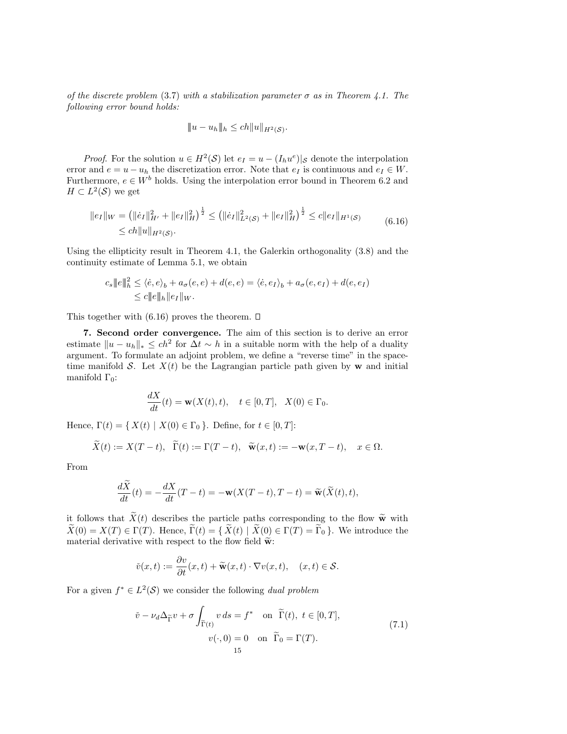of the discrete problem (3.7) with a stabilization parameter  $\sigma$  as in Theorem 4.1. The following error bound holds:

$$
||u - u_h||_h \le ch||u||_{H^2(\mathcal{S})}.
$$

*Proof.* For the solution  $u \in H^2(\mathcal{S})$  let  $e_I = u - (I_h u^e)|_{\mathcal{S}}$  denote the interpolation error and  $e = u - u_h$  the discretization error. Note that  $e_I$  is continuous and  $e_I \in W$ . Furthermore,  $e \in W^b$  holds. Using the interpolation error bound in Theorem 6.2 and  $H \subset L^2(\mathcal{S})$  we get

$$
||e_I||_W = (||\dot{e}_I||_H^2 + ||e_I||_H^2)^{\frac{1}{2}} \le (||\dot{e}_I||_{L^2(\mathcal{S})}^2 + ||e_I||_H^2)^{\frac{1}{2}} \le c||e_I||_{H^1(\mathcal{S})}
$$
  
  $\le ch||u||_{H^2(\mathcal{S})}.$  (6.16)

Using the ellipticity result in Theorem 4.1, the Galerkin orthogonality (3.8) and the continuity estimate of Lemma 5.1, we obtain

$$
c_s \Vert e \Vert_h^2 \le \langle \dot{e}, e \rangle_b + a_\sigma(e, e) + d(e, e) = \langle \dot{e}, e_I \rangle_b + a_\sigma(e, e_I) + d(e, e_I)
$$
  

$$
\le c \Vert e \Vert_h \Vert e_I \Vert_W.
$$

This together with  $(6.16)$  proves the theorem.  $\square$ 

7. Second order convergence. The aim of this section is to derive an error estimate  $||u - u_h||_* \le ch^2$  for  $\Delta t \sim h$  in a suitable norm with the help of a duality argument. To formulate an adjoint problem, we define a "reverse time" in the spacetime manifold S. Let  $X(t)$  be the Lagrangian particle path given by w and initial manifold  $\Gamma_0$ :

$$
\frac{dX}{dt}(t) = \mathbf{w}(X(t), t), \quad t \in [0, T], \quad X(0) \in \Gamma_0.
$$

Hence,  $\Gamma(t) = \{ X(t) | X(0) \in \Gamma_0 \}$ . Define, for  $t \in [0, T]$ :

$$
\widetilde{X}(t) := X(T - t), \quad \widetilde{\Gamma}(t) := \Gamma(T - t), \quad \widetilde{\mathbf{w}}(x, t) := -\mathbf{w}(x, T - t), \quad x \in \Omega.
$$

From

$$
\frac{d\widetilde{X}}{dt}(t) = -\frac{dX}{dt}(T-t) = -\mathbf{w}(X(T-t), T-t) = \widetilde{\mathbf{w}}(\widetilde{X}(t), t),
$$

it follows that  $\widetilde{X}(t)$  describes the particle paths corresponding to the flow  $\widetilde{\mathbf{w}}$  with  $\widetilde{X}(0) = X(T) \in \Gamma(T)$ . Hence,  $\widetilde{\Gamma}(t) = \{ \widetilde{X}(t) \mid \widetilde{X}(0) \in \Gamma(T) = \widetilde{\Gamma}_0 \}$ . We introduce the material derivative with respect to the flow field  $\tilde{\mathbf{w}}$ :

$$
\check{v}(x,t) := \frac{\partial v}{\partial t}(x,t) + \widetilde{\mathbf{w}}(x,t) \cdot \nabla v(x,t), \quad (x,t) \in \mathcal{S}.
$$

For a given  $f^* \in L^2(\mathcal{S})$  we consider the following dual problem

$$
\check{v} - \nu_d \Delta_{\widetilde{\Gamma}} v + \sigma \int_{\widetilde{\Gamma}(t)} v \, ds = f^* \quad \text{on } \widetilde{\Gamma}(t), \ t \in [0, T],
$$
\n
$$
v(\cdot, 0) = 0 \quad \text{on } \widetilde{\Gamma}_0 = \Gamma(T). \tag{7.1}
$$
\n
$$
15
$$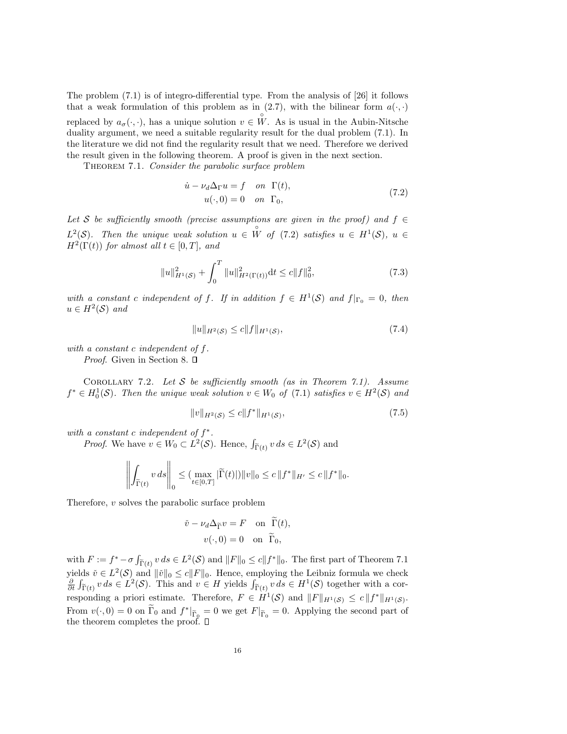The problem (7.1) is of integro-differential type. From the analysis of [26] it follows that a weak formulation of this problem as in (2.7), with the bilinear form  $a(\cdot, \cdot)$ replaced by  $a_{\sigma}(\cdot, \cdot)$ , has a unique solution  $v \in \overset{\circ}{W}$ . As is usual in the Aubin-Nitsche duality argument, we need a suitable regularity result for the dual problem (7.1). In the literature we did not find the regularity result that we need. Therefore we derived the result given in the following theorem. A proof is given in the next section.

THEOREM 7.1. Consider the parabolic surface problem

$$
\dot{u} - \nu_d \Delta_{\Gamma} u = f \quad on \quad \Gamma(t),
$$
  

$$
u(\cdot, 0) = 0 \quad on \quad \Gamma_0,
$$
 (7.2)

Let S be sufficiently smooth (precise assumptions are given in the proof) and  $f \in$  $L^2(\mathcal{S})$ . Then the unique weak solution  $u \in \overset{\circ}{W}$  of (7.2) satisfies  $u \in H^1(\mathcal{S})$ ,  $u \in$  $H^2(\Gamma(t))$  for almost all  $t \in [0, T]$ , and

$$
||u||_{H^{1}(S)}^{2} + \int_{0}^{T} ||u||_{H^{2}(\Gamma(t))}^{2} dt \le c||f||_{0}^{2},
$$
\n(7.3)

with a constant c independent of f. If in addition  $f \in H^1(\mathcal{S})$  and  $f|_{\Gamma_0} = 0$ , then  $u \in H^2(\mathcal{S})$  and

$$
||u||_{H^2(\mathcal{S})} \le c||f||_{H^1(\mathcal{S})},\tag{7.4}
$$

with a constant c independent of f.

*Proof.* Given in Section 8.  $\Box$ 

COROLLARY 7.2. Let  $S$  be sufficiently smooth (as in Theorem 7.1). Assume  $f^* \in H_0^1(\mathcal{S})$ . Then the unique weak solution  $v \in W_0$  of  $(7.1)$  satisfies  $v \in H^2(\mathcal{S})$  and

$$
||v||_{H^2(\mathcal{S})} \le c||f^*||_{H^1(\mathcal{S})},\tag{7.5}
$$

with a constant c independent of  $f^*$ .

*Proof.* We have  $v \in W_0 \subset L^2(\mathcal{S})$ . Hence,  $\int_{\tilde{\Gamma}(t)} v ds \in L^2(\mathcal{S})$  and

$$
\left\| \int_{\widetilde{\Gamma}(t)} v \, ds \right\|_{0} \leq (\max_{t \in [0,T]} |\widetilde{\Gamma}(t)|) \|v\|_{0} \leq c \|f^*\|_{H'} \leq c \|f^*\|_{0}.
$$

Therefore, v solves the parabolic surface problem

$$
\check{v} - \nu_d \Delta_{\widetilde{\Gamma}} v = F \quad \text{on } \widetilde{\Gamma}(t),
$$

$$
v(\cdot, 0) = 0 \quad \text{on } \widetilde{\Gamma}_0,
$$

with  $F := f^* - \sigma \int_{\widetilde{\Gamma}(t)} v \, ds \in L^2(\mathcal{S})$  and  $||F||_0 \le c||f^*||_0$ . The first part of Theorem 7.1 yields  $\check{v} \in L^2(\mathcal{S})$  and  $\|\check{v}\|_0 \leq c \|F\|_0$ . Hence, employing the Leibniz formula we check  $\frac{\partial}{\partial t} \int_{\tilde{\Gamma}(t)} v \, ds \in L^2(\mathcal{S})$ . This and  $v \in H$  yields  $\int_{\tilde{\Gamma}(t)} v \, ds \in H^1(\mathcal{S})$  together with a corresponding a priori estimate. Therefore,  $F \in H^1(\mathcal{S})$  and  $||F||_{H^1(\mathcal{S})} \leq c||f^*||_{H^1(\mathcal{S})}$ . From  $v(\cdot, 0) = 0$  on  $\tilde{\Gamma}_0$  and  $f^*|_{\tilde{\Gamma}_0} = 0$  we get  $F|_{\tilde{\Gamma}_0} = 0$ . Applying the second part of the theorem completes the proof.  $\square$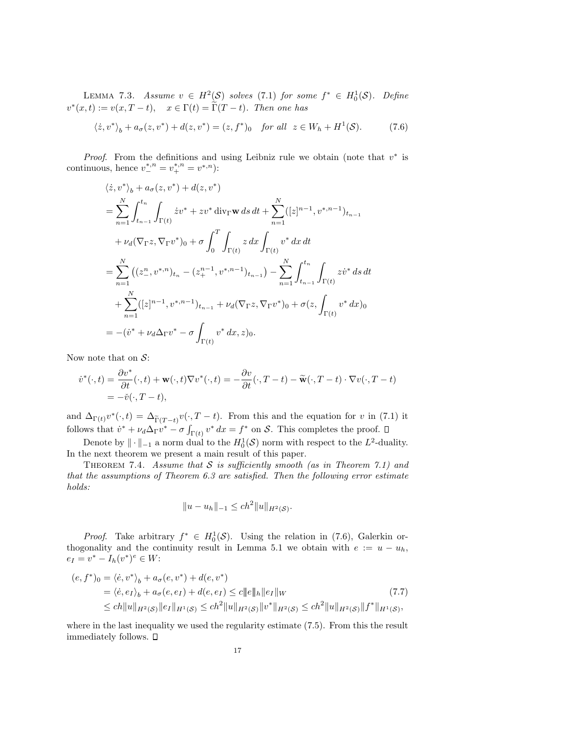LEMMA 7.3. Assume  $v \in H^2(\mathcal{S})$  solves (7.1) for some  $f^* \in H_0^1(\mathcal{S})$ . Define  $v^*(x,t) := v(x,T-t), \quad x \in \Gamma(t) = \widetilde{\Gamma}(T-t).$  Then one has

$$
\langle \dot{z}, v^* \rangle_b + a_{\sigma}(z, v^*) + d(z, v^*) = (z, f^*)_0 \quad \text{for all} \ \ z \in W_h + H^1(\mathcal{S}). \tag{7.6}
$$

*Proof.* From the definitions and using Leibniz rule we obtain (note that  $v^*$  is continuous, hence  $v^{*,n}_{-} = v^{*,n}_{+} = v^{*,n}$ :

$$
\langle \dot{z}, v^* \rangle_b + a_{\sigma}(z, v^*) + d(z, v^*)
$$
\n
$$
= \sum_{n=1}^N \int_{t_{n-1}}^{t_n} \int_{\Gamma(t)} \dot{z} v^* + z v^* \operatorname{div}_{\Gamma} \mathbf{w} \, ds \, dt + \sum_{n=1}^N ([z]^{n-1}, v^{*,n-1})_{t_{n-1}}
$$
\n
$$
+ \nu_d(\nabla_{\Gamma} z, \nabla_{\Gamma} v^*)_0 + \sigma \int_0^T \int_{\Gamma(t)} z \, dx \int_{\Gamma(t)} v^* \, dx \, dt
$$
\n
$$
= \sum_{n=1}^N ((z_{-}^n, v^{*,n})_{t_n} - (z_{+}^{n-1}, v^{*,n-1})_{t_{n-1}}) - \sum_{n=1}^N \int_{t_{n-1}}^{t_n} \int_{\Gamma(t)} z v^* \, ds \, dt
$$
\n
$$
+ \sum_{n=1}^N ([z]^{n-1}, v^{*,n-1})_{t_{n-1}} + \nu_d(\nabla_{\Gamma} z, \nabla_{\Gamma} v^*)_0 + \sigma(z, \int_{\Gamma(t)} v^* \, dx)_0
$$
\n
$$
= - (v^* + \nu_d \Delta_{\Gamma} v^* - \sigma \int_{\Gamma(t)} v^* \, dx, z)_0.
$$

Now note that on  $S$ :

$$
\begin{split} \dot{v}^*(\cdot,t) &= \frac{\partial v^*}{\partial t}(\cdot,t) + \mathbf{w}(\cdot,t)\nabla v^*(\cdot,t) = -\frac{\partial v}{\partial t}(\cdot,T-t) - \widetilde{\mathbf{w}}(\cdot,T-t)\cdot\nabla v(\cdot,T-t) \\ &= -\check{v}(\cdot,T-t), \end{split}
$$

and  $\Delta_{\Gamma(t)} v^*(\cdot, t) = \Delta_{\widetilde{\Gamma}(T-t)} v(\cdot, T-t)$ . From this and the equation for v in (7.1) it follows that  $\dot{v}^* + \nu_d \Delta_{\Gamma} v^* - \sigma \int_{\Gamma(t)} v^* dx = f^*$  on S. This completes the proof.

Denote by  $\|\cdot\|_{-1}$  a norm dual to the  $H_0^1(\mathcal{S})$  norm with respect to the  $L^2$ -duality. In the next theorem we present a main result of this paper.

THEOREM 7.4. Assume that  $S$  is sufficiently smooth (as in Theorem 7.1) and that the assumptions of Theorem 6.3 are satisfied. Then the following error estimate holds:

$$
||u - u_h||_{-1} \le ch^2 ||u||_{H^2(\mathcal{S})}.
$$

*Proof.* Take arbitrary  $f^* \in H_0^1(\mathcal{S})$ . Using the relation in (7.6), Galerkin orthogonality and the continuity result in Lemma 5.1 we obtain with  $e := u - u_h$ ,  $e_I = v^* - I_h(v^*)^e \in W$ :

$$
(e, f^*)_0 = \langle \dot{e}, v^* \rangle_b + a_\sigma(e, v^*) + d(e, v^*)
$$
  
=  $\langle \dot{e}, e_I \rangle_b + a_\sigma(e, e_I) + d(e, e_I) \le c \|e\|_h \|e_I\|_W$   
 $\le ch \|u\|_{H^2(\mathcal{S})} \|e_I\|_{H^1(\mathcal{S})} \le ch^2 \|u\|_{H^2(\mathcal{S})} \|v^*\|_{H^2(\mathcal{S})} \le ch^2 \|u\|_{H^2(\mathcal{S})} \|f^*\|_{H^1(\mathcal{S})},$  (7.7)

where in the last inequality we used the regularity estimate (7.5). From this the result immediately follows.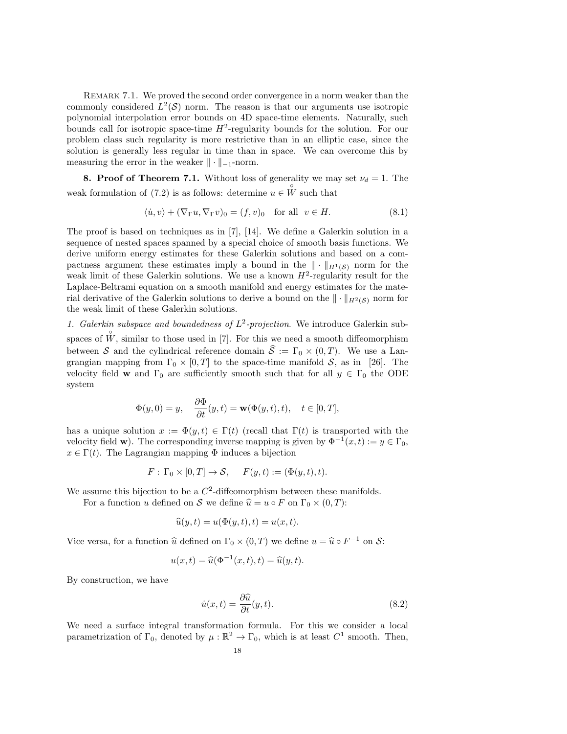REMARK 7.1. We proved the second order convergence in a norm weaker than the commonly considered  $L^2(\mathcal{S})$  norm. The reason is that our arguments use isotropic polynomial interpolation error bounds on 4D space-time elements. Naturally, such bounds call for isotropic space-time  $H^2$ -regularity bounds for the solution. For our problem class such regularity is more restrictive than in an elliptic case, since the solution is generally less regular in time than in space. We can overcome this by measuring the error in the weaker  $\|\cdot\|_{-1}$ -norm.

8. Proof of Theorem 7.1. Without loss of generality we may set  $\nu_d = 1$ . The weak formulation of (7.2) is as follows: determine  $u \in \overset{\circ}{W}$  such that

$$
\langle \dot{u}, v \rangle + (\nabla_{\Gamma} u, \nabla_{\Gamma} v)_0 = (f, v)_0 \quad \text{for all} \ \ v \in H. \tag{8.1}
$$

The proof is based on techniques as in [7], [14]. We define a Galerkin solution in a sequence of nested spaces spanned by a special choice of smooth basis functions. We derive uniform energy estimates for these Galerkin solutions and based on a compactness argument these estimates imply a bound in the  $\|\cdot\|_{H^1(\mathcal{S})}$  norm for the weak limit of these Galerkin solutions. We use a known  $H^2$ -regularity result for the Laplace-Beltrami equation on a smooth manifold and energy estimates for the material derivative of the Galerkin solutions to derive a bound on the  $\|\cdot\|_{H^2(\mathcal{S})}$  norm for the weak limit of these Galerkin solutions.

1. Galerkin subspace and boundedness of  $L^2$ -projection. We introduce Galerkin subspaces of  $\hat{W}$ , similar to those used in [7]. For this we need a smooth diffeomorphism between S and the cylindrical reference domain  $\hat{S} := \Gamma_0 \times (0,T)$ . We use a Langrangian mapping from  $\Gamma_0 \times [0, T]$  to the space-time manifold  $\mathcal{S}$ , as in [26]. The velocity field w and  $\Gamma_0$  are sufficiently smooth such that for all  $y \in \Gamma_0$  the ODE system

$$
\Phi(y,0) = y, \quad \frac{\partial \Phi}{\partial t}(y,t) = \mathbf{w}(\Phi(y,t),t), \quad t \in [0,T],
$$

has a unique solution  $x := \Phi(y, t) \in \Gamma(t)$  (recall that  $\Gamma(t)$  is transported with the velocity field **w**). The corresponding inverse mapping is given by  $\Phi^{-1}(x,t) := y \in \Gamma_0$ ,  $x \in \Gamma(t)$ . The Lagrangian mapping  $\Phi$  induces a bijection

$$
F: \Gamma_0 \times [0, T] \to \mathcal{S}, \quad F(y, t) := (\Phi(y, t), t).
$$

We assume this bijection to be a  $C^2$ -diffeomorphism between these manifolds.

For a function u defined on S we define  $\hat{u} = u \circ F$  on  $\Gamma_0 \times (0, T)$ :

$$
\widehat{u}(y,t) = u(\Phi(y,t),t) = u(x,t).
$$

Vice versa, for a function  $\hat{u}$  defined on  $\Gamma_0 \times (0,T)$  we define  $u = \hat{u} \circ F^{-1}$  on  $\mathcal{S}$ :

$$
u(x,t) = \widehat{u}(\Phi^{-1}(x,t),t) = \widehat{u}(y,t).
$$

By construction, we have

$$
\dot{u}(x,t) = \frac{\partial \hat{u}}{\partial t}(y,t). \tag{8.2}
$$

We need a surface integral transformation formula. For this we consider a local parametrization of  $\Gamma_0$ , denoted by  $\mu : \mathbb{R}^2 \to \Gamma_0$ , which is at least  $C^1$  smooth. Then,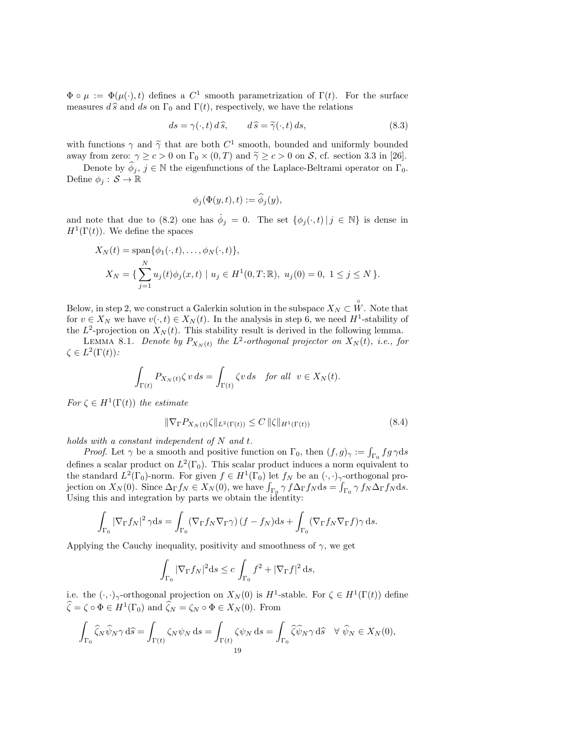$\Phi \circ \mu := \Phi(\mu(\cdot), t)$  defines a  $C^1$  smooth parametrization of  $\Gamma(t)$ . For the surface measures  $d\hat{s}$  and ds on  $\Gamma_0$  and  $\Gamma(t)$ , respectively, we have the relations

$$
ds = \gamma(\cdot, t) d\hat{s}, \qquad d\hat{s} = \tilde{\gamma}(\cdot, t) ds,
$$
\n(8.3)

with functions  $\gamma$  and  $\tilde{\gamma}$  that are both  $C^1$  smooth, bounded and uniformly bounded<br>away from zero:  $\alpha > \epsilon > 0$  on  $\Gamma_{\epsilon} \times (0, T)$  and  $\tilde{\epsilon} > \epsilon > 0$  on  $S$  of section 3.3 in [26] away from zero:  $\gamma \ge c > 0$  on  $\Gamma_0 \times (0, T)$  and  $\tilde{\gamma} \ge c > 0$  on S, cf. section 3.3 in [26].

Denote by  $\hat{\phi}_i$ ,  $j \in \mathbb{N}$  the eigenfunctions of the Laplace-Beltrami operator on  $\Gamma_0$ . Define  $\phi_i : \mathcal{S} \to \mathbb{R}$ 

$$
\phi_j(\Phi(y,t),t):=\widehat{\phi}_j(y),
$$

and note that due to (8.2) one has  $\dot{\phi}_j = 0$ . The set  $\{\phi_j(\cdot, t) | j \in \mathbb{N}\}\$ is dense in  $H^1(\Gamma(t))$ . We define the spaces

$$
X_N(t) = \text{span}\{\phi_1(\cdot, t), \dots, \phi_N(\cdot, t)\},
$$
  
\n
$$
X_N = \{\sum_{j=1}^N u_j(t)\phi_j(x, t) \mid u_j \in H^1(0, T; \mathbb{R}), u_j(0) = 0, 1 \le j \le N\}.
$$

Below, in step 2, we construct a Galerkin solution in the subspace  $X_N \subset \overset{\circ}{W}$ . Note that for  $v \in X_N$  we have  $v(\cdot, t) \in X_N(t)$ . In the analysis in step 6, we need  $H^1$ -stability of the  $L^2$ -projection on  $X_N(t)$ . This stability result is derived in the following lemma.

LEMMA 8.1. Denote by  $P_{X_N(t)}$  the  $L^2$ -orthogonal projector on  $X_N(t)$ , i.e., for  $\zeta \in L^2(\Gamma(t))$ :

$$
\int_{\Gamma(t)} P_{X_N(t)} \zeta \, v \, ds = \int_{\Gamma(t)} \zeta v \, ds \quad \text{for all} \ \ v \in X_N(t).
$$

For  $\zeta \in H^1(\Gamma(t))$  the estimate

$$
\|\nabla_{\Gamma} P_{X_N(t)}\zeta\|_{L^2(\Gamma(t))} \le C \,\|\zeta\|_{H^1(\Gamma(t))} \tag{8.4}
$$

holds with a constant independent of  $N$  and  $t$ .

*Proof.* Let  $\gamma$  be a smooth and positive function on  $\Gamma_0$ , then  $(f, g)_{\gamma} := \int_{\Gamma_0} fg \gamma ds$ defines a scalar product on  $L^2(\Gamma_0)$ . This scalar product induces a norm equivalent to the standard  $L^2(\Gamma_0)$ -norm. For given  $f \in H^1(\Gamma_0)$  let  $f_N$  be an  $(\cdot, \cdot)_{\gamma}$ -orthogonal projection on  $X_N(0)$ . Since  $\Delta_{\Gamma} f_N \in X_N(0)$ , we have  $\int_{\Gamma_0} \gamma f \Delta_{\Gamma} f_N ds = \int_{\Gamma_0} \gamma f_N \Delta_{\Gamma} f_N ds$ . Using this and integration by parts we obtain the identity:

$$
\int_{\Gamma_0} |\nabla_{\Gamma} f_N|^2 \gamma ds = \int_{\Gamma_0} (\nabla_{\Gamma} f_N \nabla_{\Gamma} \gamma) (f - f_N) ds + \int_{\Gamma_0} (\nabla_{\Gamma} f_N \nabla_{\Gamma} f) \gamma ds.
$$

Applying the Cauchy inequality, positivity and smoothness of  $\gamma$ , we get

$$
\int_{\Gamma_0} |\nabla_{\Gamma} f_N|^2 \, \mathrm{d} s \le c \int_{\Gamma_0} f^2 + |\nabla_{\Gamma} f|^2 \, \mathrm{d} s,
$$

i.e. the  $(\cdot, \cdot)_{\gamma}$ -orthogonal projection on  $X_N(0)$  is  $H^1$ -stable. For  $\zeta \in H^1(\Gamma(t))$  define  $\widehat{\zeta} = \zeta \circ \Phi \in H^1(\Gamma_0)$  and  $\widehat{\zeta}_N = \zeta_N \circ \Phi \in X_N(0)$ . From

$$
\int_{\Gamma_0} \widehat{\zeta}_N \widehat{\psi}_N \gamma \, d\widehat{s} = \int_{\Gamma(t)} \zeta_N \psi_N \, ds = \int_{\Gamma(t)} \zeta \psi_N \, ds = \int_{\Gamma_0} \widehat{\zeta} \widehat{\psi}_N \gamma \, d\widehat{s} \quad \forall \ \widehat{\psi}_N \in X_N(0),
$$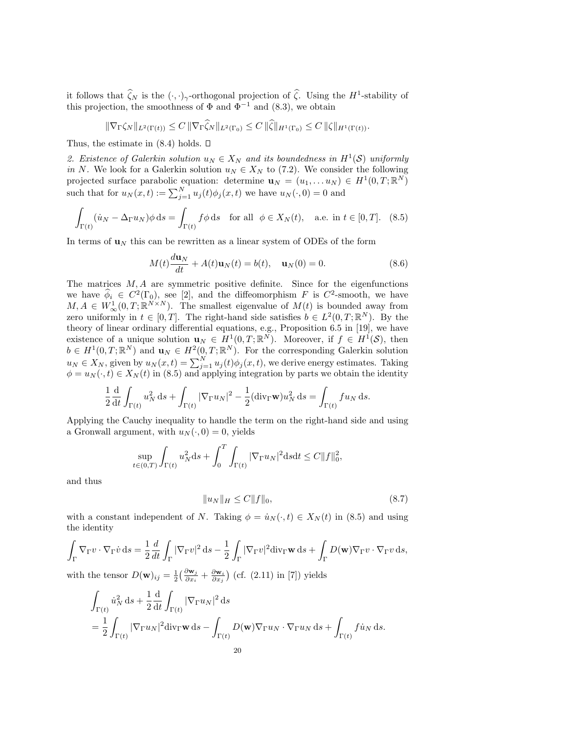it follows that  $\hat{\zeta}_N$  is the  $(\cdot, \cdot)_\gamma$ -orthogonal projection of  $\hat{\zeta}$ . Using the  $H^1$ -stability of this projection, the smoothness of  $\Phi$  and  $\Phi^{-1}$  and (8.3), we obtain

$$
\|\nabla_{\Gamma}\zeta_N\|_{L^2(\Gamma(t))} \leq C \|\nabla_{\Gamma}\zeta_N\|_{L^2(\Gamma_0)} \leq C \|\zeta\|_{H^1(\Gamma_0)} \leq C \|\zeta\|_{H^1(\Gamma(t))}.
$$

Thus, the estimate in  $(8.4)$  holds.  $\Box$ 

2. Existence of Galerkin solution  $u_N \in X_N$  and its boundedness in  $H^1(S)$  uniformly in N. We look for a Galerkin solution  $u_N \in X_N$  to (7.2). We consider the following projected surface parabolic equation: determine  $\mathbf{u}_N = (u_1, \dots u_N) \in H^1(0,T;\mathbb{R}^N)$ such that for  $u_N(x,t) := \sum_{j=1}^N u_j(t) \phi_j(x,t)$  we have  $u_N(\cdot, 0) = 0$  and

$$
\int_{\Gamma(t)} (\dot{u}_N - \Delta_{\Gamma} u_N) \phi \, ds = \int_{\Gamma(t)} f \phi \, ds \quad \text{for all} \ \phi \in X_N(t), \quad \text{a.e. in } t \in [0, T]. \tag{8.5}
$$

In terms of  $\mathbf{u}_N$  this can be rewritten as a linear system of ODEs of the form

$$
M(t)\frac{d\mathbf{u}_N}{dt} + A(t)\mathbf{u}_N(t) = b(t), \quad \mathbf{u}_N(0) = 0.
$$
 (8.6)

The matrices  $M, A$  are symmetric positive definite. Since for the eigenfunctions we have  $\hat{\phi}_i \in C^2(\Gamma_0)$ , see [2], and the diffeomorphism F is  $C^2$ -smooth, we have  $M, A \in W^1_{\infty}(0,T;\mathbb{R}^{N \times N})$ . The smallest eigenvalue of  $M(t)$  is bounded away from zero uniformly in  $t \in [0,T]$ . The right-hand side satisfies  $b \in L^2(0,T;\mathbb{R}^N)$ . By the theory of linear ordinary differential equations, e.g., Proposition 6.5 in [19], we have existence of a unique solution  $\mathbf{u}_N \in H^1(0,T;\mathbb{R}^N)$ . Moreover, if  $f \in H^1(\mathcal{S})$ , then  $b \in H^1(0,T;\mathbb{R}^N)$  and  $\mathbf{u}_N \in H^2(0,T;\mathbb{R}^N)$ . For the corresponding Galerkin solution  $u_N \in X_N$ , given by  $u_N(x,t) = \sum_{j=1}^N u_j(t)\phi_j(x,t)$ , we derive energy estimates. Taking  $\phi = u_N(\cdot, t) \in X_N(t)$  in (8.5) and applying integration by parts we obtain the identity

$$
\frac{1}{2}\frac{\mathrm{d}}{\mathrm{d}t}\int_{\Gamma(t)}u_N^2\,\mathrm{d}s + \int_{\Gamma(t)}|\nabla_{\Gamma}u_N|^2 - \frac{1}{2}(\mathrm{div}_{\Gamma}\mathbf{w})u_N^2\,\mathrm{d}s = \int_{\Gamma(t)}fu_N\,\mathrm{d}s.
$$

Applying the Cauchy inequality to handle the term on the right-hand side and using a Gronwall argument, with  $u_N(\cdot, 0) = 0$ , yields

$$
\sup_{t \in (0,T)} \int_{\Gamma(t)} u_N^2 \, ds + \int_0^T \int_{\Gamma(t)} |\nabla_{\Gamma} u_N|^2 \, ds \, dt \le C \|f\|_0^2,
$$

and thus

$$
||u_N||_H \le C||f||_0,\t\t(8.7)
$$

with a constant independent of N. Taking  $\phi = u_N(\cdot, t) \in X_N(t)$  in (8.5) and using the identity

$$
\int_{\Gamma} \nabla_{\Gamma} v \cdot \nabla_{\Gamma} \dot{v} \, ds = \frac{1}{2} \frac{d}{dt} \int_{\Gamma} |\nabla_{\Gamma} v|^2 \, ds - \frac{1}{2} \int_{\Gamma} |\nabla_{\Gamma} v|^2 \, \text{div}_{\Gamma} \mathbf{w} \, ds + \int_{\Gamma} D(\mathbf{w}) \nabla_{\Gamma} v \cdot \nabla_{\Gamma} v \, ds,
$$

with the tensor  $D(\mathbf{w})_{ij} = \frac{1}{2} \left( \frac{\partial \mathbf{w}_j}{\partial x_i} + \frac{\partial \mathbf{w}_i}{\partial x_j} \right)$  (cf. (2.11) in [7]) yields

$$
\int_{\Gamma(t)} \dot{u}_N^2 ds + \frac{1}{2} \frac{d}{dt} \int_{\Gamma(t)} |\nabla_{\Gamma} u_N|^2 ds
$$
  
= 
$$
\frac{1}{2} \int_{\Gamma(t)} |\nabla_{\Gamma} u_N|^2 \operatorname{div}_{\Gamma} \mathbf{w} ds - \int_{\Gamma(t)} D(\mathbf{w}) \nabla_{\Gamma} u_N \cdot \nabla_{\Gamma} u_N ds + \int_{\Gamma(t)} f \dot{u}_N ds.
$$
  
20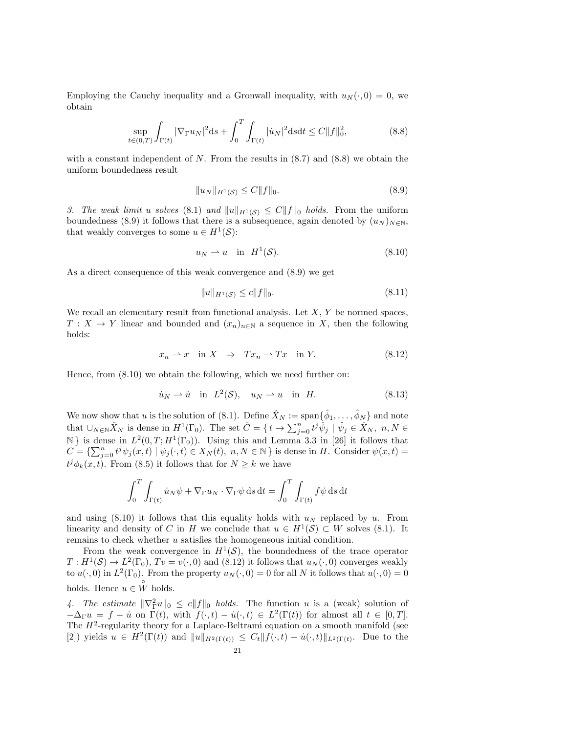Employing the Cauchy inequality and a Gronwall inequality, with  $u_N(\cdot, 0) = 0$ , we obtain

$$
\sup_{t \in (0,T)} \int_{\Gamma(t)} |\nabla_{\Gamma} u_N|^2 \, ds + \int_0^T \int_{\Gamma(t)} |\dot{u}_N|^2 \, ds \, dt \le C \|f\|_0^2,\tag{8.8}
$$

with a constant independent of  $N$ . From the results in  $(8.7)$  and  $(8.8)$  we obtain the uniform boundedness result

$$
||u_N||_{H^1(\mathcal{S})} \le C||f||_0. \tag{8.9}
$$

3. The weak limit u solves (8.1) and  $||u||_{H^1(\mathcal{S})} \leq C||f||_0$  holds. From the uniform boundedness (8.9) it follows that there is a subsequence, again denoted by  $(u_N)_{N\in\mathbb{N}}$ , that weakly converges to some  $u \in H^1(\mathcal{S})$ :

$$
u_N \rightharpoonup u \quad \text{in} \quad H^1(\mathcal{S}).\tag{8.10}
$$

As a direct consequence of this weak convergence and (8.9) we get

$$
||u||_{H^1(\mathcal{S})} \le c||f||_0. \tag{8.11}
$$

We recall an elementary result from functional analysis. Let  $X, Y$  be normed spaces,  $T: X \to Y$  linear and bounded and  $(x_n)_{n \in \mathbb{N}}$  a sequence in X, then the following holds:

$$
x_n \rightharpoonup x \quad \text{in } X \quad \Rightarrow \quad Tx_n \rightharpoonup Tx \quad \text{in } Y. \tag{8.12}
$$

Hence, from (8.10) we obtain the following, which we need further on:

$$
\dot{u}_N \rightharpoonup \dot{u} \quad \text{in} \quad L^2(\mathcal{S}), \quad u_N \rightharpoonup u \quad \text{in} \quad H. \tag{8.13}
$$

We now show that u is the solution of (8.1). Define  $\hat{X}_N := \text{span}\{\hat{\phi}_1, \dots, \hat{\phi}_N\}$  and note that  $\cup_{N\in\mathbb{N}}\hat{X}_N$  is dense in  $H^1(\Gamma_0)$ . The set  $\hat{C} = \{ t \to \sum_{j=0}^n t^j \hat{\psi}_j \mid \hat{\psi}_j \in \hat{X}_N, n, N \in \mathbb{N} \}$  $\mathbb{N}$  is dense in  $L^2(0,T;H^1(\Gamma_0))$ . Using this and Lemma 3.3 in [26] it follows that  $C = \{ \sum_{j=0}^n t^j \psi_j(x,t) \mid \psi_j(\cdot,t) \in X_N(t), \ n, N \in \mathbb{N} \}$  is dense in H. Consider  $\psi(x,t) =$  $t^{j}\phi_{k}(x,t)$ . From (8.5) it follows that for  $N\geq k$  we have

$$
\int_0^T \int_{\Gamma(t)} \dot{u}_N \psi + \nabla_{\Gamma} u_N \cdot \nabla_{\Gamma} \psi \, ds \, dt = \int_0^T \int_{\Gamma(t)} f \psi \, ds \, dt
$$

and using (8.10) it follows that this equality holds with  $u_N$  replaced by u. From linearity and density of C in H we conclude that  $u \in H^1(\mathcal{S}) \subset W$  solves (8.1). It remains to check whether u satisfies the homogeneous initial condition.

From the weak convergence in  $H^1(\mathcal{S})$ , the boundedness of the trace operator  $T: H^1(\mathcal{S}) \to L^2(\Gamma_0)$ ,  $Tv = v(\cdot, 0)$  and  $(8.12)$  it follows that  $u_N(\cdot, 0)$  converges weakly to  $u(\cdot,0)$  in  $L^2(\Gamma_0)$ . From the property  $u_N(\cdot,0) = 0$  for all N it follows that  $u(\cdot,0) = 0$ holds. Hence  $u \in \overset{\circ}{W}$  holds.

4. The estimate  $\|\nabla_{\Gamma}^2 u\|_0 \leq c \|f\|_0$  holds. The function u is a (weak) solution of  $-\Delta_{\Gamma} u = f - \dot{u}$  on  $\Gamma(t)$ , with  $f(\cdot, t) - \dot{u}(\cdot, t) \in L^2(\Gamma(t))$  for almost all  $t \in [0, T]$ . The  $H^2$ -regularity theory for a Laplace-Beltrami equation on a smooth manifold (see [2]) yields  $u \in H^2(\Gamma(t))$  and  $||u||_{H^2(\Gamma(t))} \leq C_t ||f(\cdot,t) - \dot{u}(\cdot,t)||_{L^2(\Gamma(t))}$ . Due to the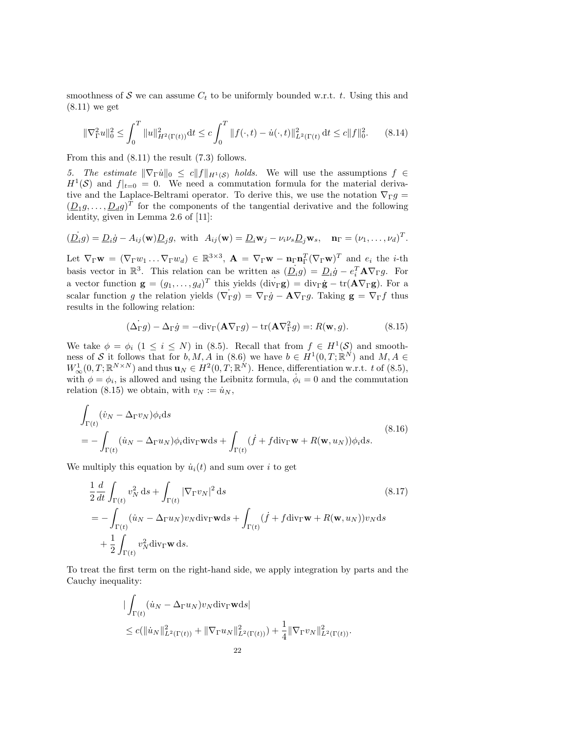smoothness of  $S$  we can assume  $C_t$  to be uniformly bounded w.r.t. t. Using this and (8.11) we get

$$
\|\nabla_{\Gamma}^{2}u\|_{0}^{2} \leq \int_{0}^{T} \|u\|_{H^{2}(\Gamma(t))}^{2} dt \leq c \int_{0}^{T} \|f(\cdot,t) - \dot{u}(\cdot,t)\|_{L^{2}(\Gamma(t))}^{2} dt \leq c \|f\|_{0}^{2}.
$$
 (8.14)

From this and (8.11) the result (7.3) follows.

5. The estimate  $\|\nabla_{\Gamma}\dot{u}\|_0 \leq c\|f\|_{H^1(\mathcal{S})}$  holds. We will use the assumptions  $f \in$  $H^1(\mathcal{S})$  and  $f|_{t=0} = 0$ . We need a commutation formula for the material derivative and the Laplace-Beltrami operator. To derive this, we use the notation  $\nabla_{\Gamma} g =$  $(\underline{D}_1 g, \ldots, \underline{D}_d g)^T$  for the components of the tangential derivative and the following identity, given in Lemma 2.6 of [11]:

$$
(\underline{D}_i g) = \underline{D}_i \dot{g} - A_{ij}(\mathbf{w}) \underline{D}_j g
$$
, with  $A_{ij}(\mathbf{w}) = \underline{D}_i \mathbf{w}_j - \nu_i \nu_s \underline{D}_j \mathbf{w}_s$ ,  $\mathbf{n}_{\Gamma} = (\nu_1, \dots, \nu_d)^T$ .

Let  $\nabla_{\Gamma} \mathbf{w} = (\nabla_{\Gamma} w_1 \dots \nabla_{\Gamma} w_d) \in \mathbb{R}^{3 \times 3}$ ,  $\mathbf{A} = \nabla_{\Gamma} \mathbf{w} - \mathbf{n}_{\Gamma} \mathbf{n}_{\Gamma}^T (\nabla_{\Gamma} \mathbf{w})^T$  and  $e_i$  the *i*-th basis vector in  $\mathbb{R}^3$ . This relation can be written as  $(\underline{D}_i g) = \underline{D}_i \dot{g} - e_i^T A \nabla_{\Gamma} g$ . For a vector function  $\mathbf{g} = (g_1, \dots, g_d)^T$  this yields  $(\text{div}_{\Gamma} \mathbf{g}) = \text{div}_{\Gamma} \dot{\mathbf{g}} - \text{tr}(\mathbf{A} \nabla_{\Gamma} \mathbf{g})$ . For a scalar function g the relation yields  $(\nabla_{\Gamma} g) = \nabla_{\Gamma} g - \mathbf{A} \nabla_{\Gamma} g$ . Taking  $\mathbf{g} = \nabla_{\Gamma} f$  thus results in the following relation:

$$
(\dot{\Delta}_{\Gamma}g) - \Delta_{\Gamma}\dot{g} = -\text{div}_{\Gamma}(\mathbf{A}\nabla_{\Gamma}g) - \text{tr}(\mathbf{A}\nabla_{\Gamma}^2g) =: R(\mathbf{w}, g). \tag{8.15}
$$

We take  $\phi = \phi_i \ (1 \leq i \leq N)$  in (8.5). Recall that from  $f \in H^1(\mathcal{S})$  and smoothness of S it follows that for  $b, M, A$  in (8.6) we have  $b \in H^1(0,T;\mathbb{R}^N)$  and  $M, A \in$  $W^1_{\infty}(0,T;\mathbb{R}^{N\times N})$  and thus  $\mathbf{u}_N \in H^2(0,T;\mathbb{R}^N)$ . Hence, differentiation w.r.t. t of (8.5), with  $\phi = \phi_i$ , is allowed and using the Leibnitz formula,  $\dot{\phi}_i = 0$  and the commutation relation (8.15) we obtain, with  $v_N := \dot{u}_N$ ,

$$
\int_{\Gamma(t)} (\dot{v}_N - \Delta_{\Gamma} v_N) \phi_i ds
$$
\n
$$
= - \int_{\Gamma(t)} (\dot{u}_N - \Delta_{\Gamma} u_N) \phi_i \text{div}_{\Gamma} \mathbf{w} ds + \int_{\Gamma(t)} (\dot{f} + f \text{div}_{\Gamma} \mathbf{w} + R(\mathbf{w}, u_N)) \phi_i ds.
$$
\n(8.16)

We multiply this equation by  $\dot{u}_i(t)$  and sum over i to get

$$
\frac{1}{2} \frac{d}{dt} \int_{\Gamma(t)} v_N^2 ds + \int_{\Gamma(t)} |\nabla_{\Gamma} v_N|^2 ds
$$
\n
$$
= - \int_{\Gamma(t)} (\dot{u}_N - \Delta_{\Gamma} u_N) v_N \operatorname{div}_{\Gamma} \mathbf{w} ds + \int_{\Gamma(t)} (\dot{f} + f \operatorname{div}_{\Gamma} \mathbf{w} + R(\mathbf{w}, u_N)) v_N ds
$$
\n
$$
+ \frac{1}{2} \int_{\Gamma(t)} v_N^2 \operatorname{div}_{\Gamma} \mathbf{w} ds.
$$
\n(8.17)

To treat the first term on the right-hand side, we apply integration by parts and the Cauchy inequality:

$$
\begin{aligned} & \int_{\Gamma(t)} (\dot{u}_N - \Delta_{\Gamma} u_N) v_N \, \text{div}_{\Gamma} \mathbf{w} \, \text{d}s \\ &\leq c (\|\dot{u}_N\|_{L^2(\Gamma(t))}^2 + \|\nabla_{\Gamma} u_N\|_{L^2(\Gamma(t))}^2) + \frac{1}{4} \|\nabla_{\Gamma} v_N\|_{L^2(\Gamma(t))}^2. \end{aligned}
$$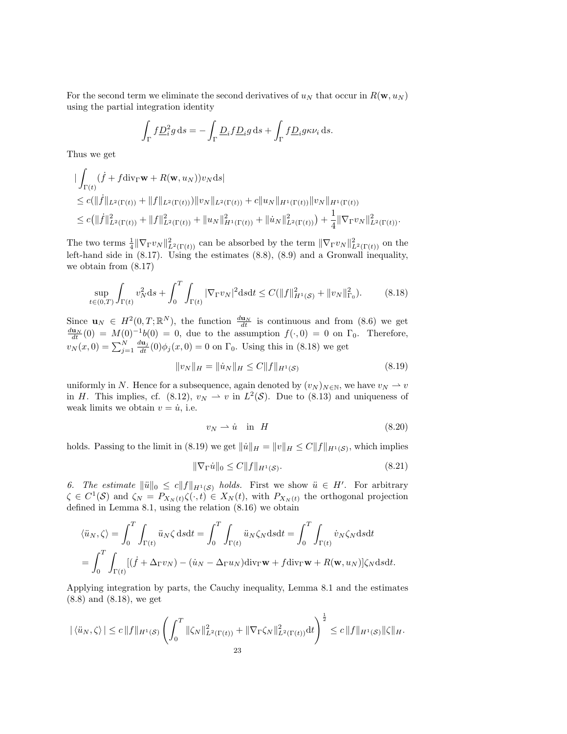For the second term we eliminate the second derivatives of  $u_N$  that occur in  $R(\mathbf{w}, u_N)$ using the partial integration identity

$$
\int_{\Gamma} f \underline{D}_i^2 g \, \mathrm{d} s = -\int_{\Gamma} \underline{D}_i f \underline{D}_i g \, \mathrm{d} s + \int_{\Gamma} f \underline{D}_i g \kappa \nu_i \, \mathrm{d} s.
$$

Thus we get

$$
\begin{aligned}\n&\|\int_{\Gamma(t)} (\dot{f} + f \operatorname{div}_{\Gamma} \mathbf{w} + R(\mathbf{w}, u_N)) v_N \mathrm{d}s\| \\
&\leq c (\|\dot{f}\|_{L^2(\Gamma(t))} + \|f\|_{L^2(\Gamma(t))}) \|v_N\|_{L^2(\Gamma(t))} + c \|u_N\|_{H^1(\Gamma(t))} \|v_N\|_{H^1(\Gamma(t))} \\
&\leq c (\|\dot{f}\|_{L^2(\Gamma(t))}^2 + \|f\|_{L^2(\Gamma(t))}^2 + \|u_N\|_{H^1(\Gamma(t))}^2 + \|\dot{u}_N\|_{L^2(\Gamma(t))}^2) + \frac{1}{4} \|\nabla_{\Gamma} v_N\|_{L^2(\Gamma(t))}^2.\n\end{aligned}
$$

The two terms  $\frac{1}{4} \|\nabla_{\Gamma} v_N\|_{L^2(\Gamma(t))}^2$  can be absorbed by the term  $\|\nabla_{\Gamma} v_N\|_{L^2(\Gamma(t))}^2$  on the left-hand side in (8.17). Using the estimates (8.8), (8.9) and a Gronwall inequality, we obtain from (8.17)

$$
\sup_{t \in (0,T)} \int_{\Gamma(t)} v_N^2 \, ds + \int_0^T \int_{\Gamma(t)} |\nabla_{\Gamma} v_N|^2 \, ds \, dt \le C \left( \|f\|_{H^1(\mathcal{S})}^2 + \|v_N\|_{\Gamma_0}^2 \right). \tag{8.18}
$$

Since  $\mathbf{u}_N \in H^2(0, T; \mathbb{R}^N)$ , the function  $\frac{d\mathbf{u}_N}{dt}$  is continuous and from (8.6) we get  $\frac{d\mathbf{u}_N}{dt}(0) = M(0)^{-1}b(0) = 0$ , due to the assumption  $f(\cdot, 0) = 0$  on  $\Gamma_0$ . Therefore,  $v_N(x, 0) = \sum_{j=1}^N \frac{d\mathbf{u}_j}{dt}(0) \phi_j(x, 0) = 0$  on  $\Gamma_0$ . Using this in (8.18) we get

$$
||v_N||_H = ||\dot{u}_N||_H \le C||f||_{H^1(\mathcal{S})}
$$
\n(8.19)

uniformly in N. Hence for a subsequence, again denoted by  $(v_N)_{N\in\mathbb{N}}$ , we have  $v_N \to v$ in H. This implies, cf. (8.12),  $v_N \rightharpoonup v$  in  $L^2(\mathcal{S})$ . Due to (8.13) and uniqueness of weak limits we obtain  $v = \dot{u}$ , i.e.

$$
v_N \rightharpoonup \dot{u} \quad \text{in} \quad H \tag{8.20}
$$

holds. Passing to the limit in (8.19) we get  $||\dot{u}||_H = ||v||_H \leq C||f||_{H^1(\mathcal{S})}$ , which implies

$$
\|\nabla_{\Gamma}\dot{u}\|_{0} \le C\|f\|_{H^{1}(\mathcal{S})}.\tag{8.21}
$$

6. The estimate  $\|\ddot{u}\|_0 \leq c \|f\|_{H^1(\mathcal{S})}$  holds. First we show  $\ddot{u} \in H'$ . For arbitrary  $\zeta \in C^1(\mathcal{S})$  and  $\zeta_N = P_{X_N(t)} \zeta(\cdot, t) \in X_N(t)$ , with  $P_{X_N(t)}$  the orthogonal projection defined in Lemma 8.1, using the relation (8.16) we obtain

$$
\langle \ddot{u}_N, \zeta \rangle = \int_0^T \int_{\Gamma(t)} \ddot{u}_N \zeta \, \mathrm{d}s \mathrm{d}t = \int_0^T \int_{\Gamma(t)} \ddot{u}_N \zeta_N \mathrm{d}s \mathrm{d}t = \int_0^T \int_{\Gamma(t)} \dot{v}_N \zeta_N \mathrm{d}s \mathrm{d}t
$$
\n
$$
= \int_0^T \int_{\Gamma(t)} [(f + \Delta_{\Gamma} v_N) - (\dot{u}_N - \Delta_{\Gamma} u_N) \mathrm{div}_{\Gamma} \mathbf{w} + f \mathrm{div}_{\Gamma} \mathbf{w} + R(\mathbf{w}, u_N)] \zeta_N \mathrm{d}s \mathrm{d}t.
$$

Applying integration by parts, the Cauchy inequality, Lemma 8.1 and the estimates (8.8) and (8.18), we get

$$
|\langle \ddot{u}_N, \zeta \rangle| \le c \|f\|_{H^1(\mathcal{S})} \left( \int_0^T \|\zeta_N\|_{L^2(\Gamma(t))}^2 + \|\nabla_{\Gamma}\zeta_N\|_{L^2(\Gamma(t))}^2 dt \right)^{\frac{1}{2}} \le c \|f\|_{H^1(\mathcal{S})} \|\zeta\|_H.
$$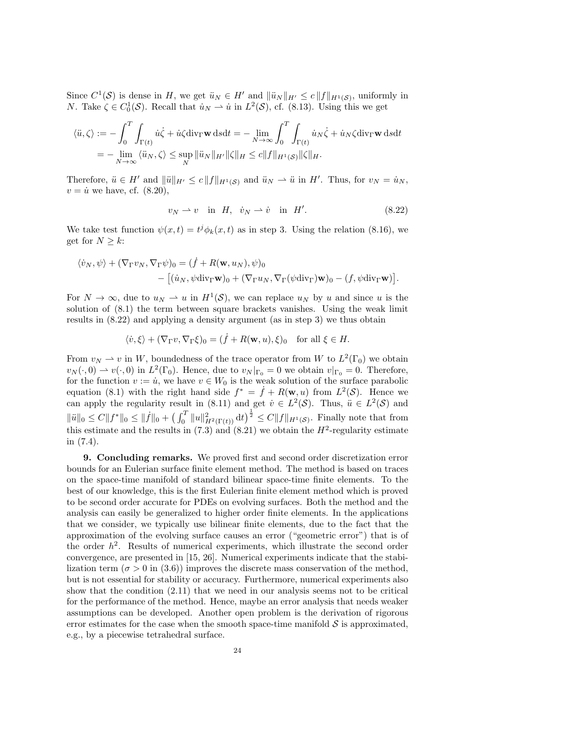Since  $C^1(\mathcal{S})$  is dense in H, we get  $\ddot{u}_N \in H'$  and  $\|\ddot{u}_N\|_{H'} \le c \|f\|_{H^1(\mathcal{S})}$ , uniformly in *N*. Take  $\zeta \in C_0^1(\mathcal{S})$ . Recall that  $\dot{u}_N \rightharpoonup \dot{u}$  in  $L^2(\mathcal{S})$ , cf. (8.13). Using this we get

$$
\langle \ddot{u}, \zeta \rangle := -\int_0^T \int_{\Gamma(t)} \dot{u}\dot{\zeta} + \dot{u}\zeta \text{div}_{\Gamma} \mathbf{w} \, \text{d}s \text{d}t = -\lim_{N \to \infty} \int_0^T \int_{\Gamma(t)} \dot{u}_N \dot{\zeta} + \dot{u}_N \zeta \text{div}_{\Gamma} \mathbf{w} \, \text{d}s \text{d}t
$$
\n
$$
= -\lim_{N \to \infty} \langle \ddot{u}_N, \zeta \rangle \le \sup_N \|\ddot{u}_N\|_{H'} \|\zeta\|_{H} \le c \|f\|_{H^1(\mathcal{S})} \|\zeta\|_{H}.
$$

Therefore,  $\ddot{u} \in H'$  and  $\|\ddot{u}\|_{H'} \le c \|f\|_{H^1(\mathcal{S})}$  and  $\ddot{u}_N \to \ddot{u}$  in  $H'$ . Thus, for  $v_N = \dot{u}_N$ ,  $v = \dot{u}$  we have, cf. (8.20),

$$
v_N \rightharpoonup v \quad \text{in} \quad H, \quad \dot{v}_N \rightharpoonup \dot{v} \quad \text{in} \quad H'. \tag{8.22}
$$

We take test function  $\psi(x,t) = t^j \phi_k(x,t)$  as in step 3. Using the relation (8.16), we get for  $N \geq k$ :

$$
\langle \dot{v}_N, \psi \rangle + (\nabla_{\Gamma} v_N, \nabla_{\Gamma} \psi)_0 = (\dot{f} + R(\mathbf{w}, u_N), \psi)_0 - [(\dot{u}_N, \psi \, \text{div}_{\Gamma} \mathbf{w})_0 + (\nabla_{\Gamma} u_N, \nabla_{\Gamma} (\psi \, \text{div}_{\Gamma}) \mathbf{w})_0 - (f, \psi \, \text{div}_{\Gamma} \mathbf{w})].
$$

For  $N \to \infty$ , due to  $u_N \to u$  in  $H^1(\mathcal{S})$ , we can replace  $u_N$  by u and since u is the solution of (8.1) the term between square brackets vanishes. Using the weak limit results in (8.22) and applying a density argument (as in step 3) we thus obtain

$$
\langle \dot{v}, \xi \rangle + (\nabla_{\Gamma} v, \nabla_{\Gamma} \xi)_0 = (\dot{f} + R(\mathbf{w}, u), \xi)_0 \quad \text{for all } \xi \in H.
$$

From  $v_N \rightharpoonup v$  in W, boundedness of the trace operator from W to  $L^2(\Gamma_0)$  we obtain  $v_N(\cdot,0) \rightharpoonup v(\cdot,0)$  in  $L^2(\Gamma_0)$ . Hence, due to  $v_N|_{\Gamma_0} = 0$  we obtain  $v|_{\Gamma_0} = 0$ . Therefore, for the function  $v := \dot{u}$ , we have  $v \in W_0$  is the weak solution of the surface parabolic equation (8.1) with the right hand side  $f^* = \dot{f} + R(\mathbf{w}, u)$  from  $L^2(\mathcal{S})$ . Hence we can apply the regularity result in (8.11) and get  $\dot{v} \in L^2(\mathcal{S})$ . Thus,  $\ddot{u} \in L^2(\mathcal{S})$  and  $\|\ddot{u}\|_0 \leq C \|f^*\|_0 \leq \|\dot{f}\|_0 + \left(\int_0^T \|u\|_{H^2(\Gamma(t))}^2 dt\right)^{\frac{1}{2}} \leq C \|f\|_{H^1(\mathcal{S})}.$  Finally note that from this estimate and the results in  $(7.3)$  and  $(8.21)$  we obtain the  $H^2$ -regularity estimate in (7.4).

9. Concluding remarks. We proved first and second order discretization error bounds for an Eulerian surface finite element method. The method is based on traces on the space-time manifold of standard bilinear space-time finite elements. To the best of our knowledge, this is the first Eulerian finite element method which is proved to be second order accurate for PDEs on evolving surfaces. Both the method and the analysis can easily be generalized to higher order finite elements. In the applications that we consider, we typically use bilinear finite elements, due to the fact that the approximation of the evolving surface causes an error ("geometric error") that is of the order  $h^2$ . Results of numerical experiments, which illustrate the second order convergence, are presented in [15, 26]. Numerical experiments indicate that the stabilization term ( $\sigma > 0$  in (3.6)) improves the discrete mass conservation of the method, but is not essential for stability or accuracy. Furthermore, numerical experiments also show that the condition (2.11) that we need in our analysis seems not to be critical for the performance of the method. Hence, maybe an error analysis that needs weaker assumptions can be developed. Another open problem is the derivation of rigorous error estimates for the case when the smooth space-time manifold  $\mathcal S$  is approximated, e.g., by a piecewise tetrahedral surface.